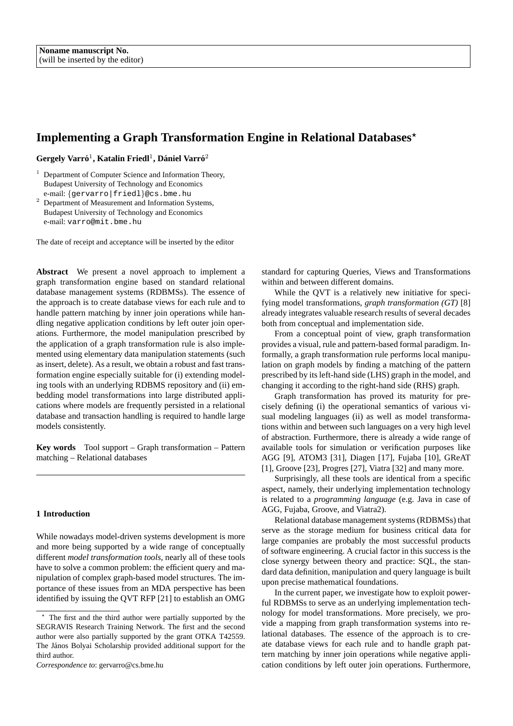# **Implementing a Graph Transformation Engine in Relational Databases**?

# $\mathbf{Gergely \, \text{Varró}^1, \text{Katalin Friedl}^1, \text{Dániel Varró}^2}$

- <sup>1</sup> Department of Computer Science and Information Theory, Budapest University of Technology and Economics e-mail: {gervarro|friedl}@cs.bme.hu
- <sup>2</sup> Department of Measurement and Information Systems, Budapest University of Technology and Economics e-mail: varro@mit.bme.hu

The date of receipt and acceptance will be inserted by the editor

**Abstract** We present a novel approach to implement a graph transformation engine based on standard relational database management systems (RDBMSs). The essence of the approach is to create database views for each rule and to handle pattern matching by inner join operations while handling negative application conditions by left outer join operations. Furthermore, the model manipulation prescribed by the application of a graph transformation rule is also implemented using elementary data manipulation statements (such as insert, delete). As a result, we obtain a robust and fast transformation engine especially suitable for (i) extending modeling tools with an underlying RDBMS repository and (ii) embedding model transformations into large distributed applications where models are frequently persisted in a relational database and transaction handling is required to handle large models consistently.

**Key words** Tool support – Graph transformation – Pattern matching – Relational databases

# **1 Introduction**

While nowadays model-driven systems development is more and more being supported by a wide range of conceptually different *model transformation tools*, nearly all of these tools have to solve a common problem: the efficient query and manipulation of complex graph-based model structures. The importance of these issues from an MDA perspective has been identified by issuing the QVT RFP [21] to establish an OMG

*Correspondence to*: gervarro@cs.bme.hu

standard for capturing Queries, Views and Transformations within and between different domains.

While the QVT is a relatively new initiative for specifying model transformations, *graph transformation (GT)* [8] already integrates valuable research results of several decades both from conceptual and implementation side.

From a conceptual point of view, graph transformation provides a visual, rule and pattern-based formal paradigm. Informally, a graph transformation rule performs local manipulation on graph models by finding a matching of the pattern prescribed by its left-hand side (LHS) graph in the model, and changing it according to the right-hand side (RHS) graph.

Graph transformation has proved its maturity for precisely defining (i) the operational semantics of various visual modeling languages (ii) as well as model transformations within and between such languages on a very high level of abstraction. Furthermore, there is already a wide range of available tools for simulation or verification purposes like AGG [9], ATOM3 [31], Diagen [17], Fujaba [10], GReAT [1], Groove [23], Progres [27], Viatra [32] and many more.

Surprisingly, all these tools are identical from a specific aspect, namely, their underlying implementation technology is related to a *programming language* (e.g. Java in case of AGG, Fujaba, Groove, and Viatra2).

Relational database management systems (RDBMSs) that serve as the storage medium for business critical data for large companies are probably the most successful products of software engineering. A crucial factor in this success is the close synergy between theory and practice: SQL, the standard data definition, manipulation and query language is built upon precise mathematical foundations.

In the current paper, we investigate how to exploit powerful RDBMSs to serve as an underlying implementation technology for model transformations. More precisely, we provide a mapping from graph transformation systems into relational databases. The essence of the approach is to create database views for each rule and to handle graph pattern matching by inner join operations while negative application conditions by left outer join operations. Furthermore,

The first and the third author were partially supported by the SEGRAVIS Research Training Network. The first and the second author were also partially supported by the grant OTKA T42559. The János Bolyai Scholarship provided additional support for the third author.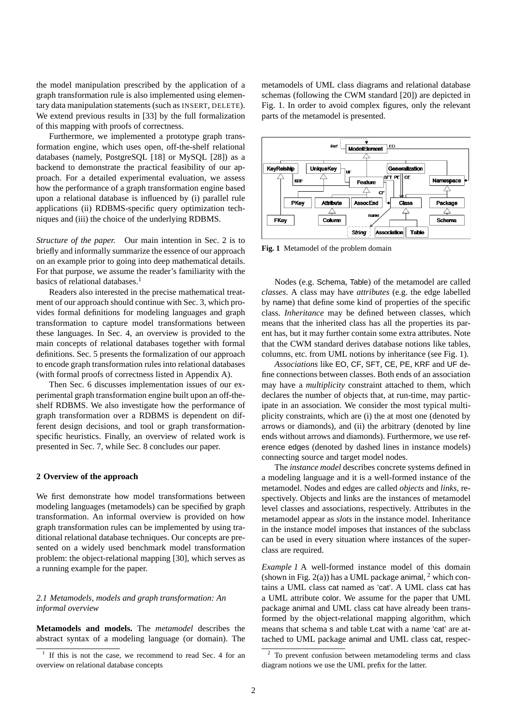the model manipulation prescribed by the application of a graph transformation rule is also implemented using elementary data manipulation statements (such as INSERT, DELETE). We extend previous results in [33] by the full formalization of this mapping with proofs of correctness.

Furthermore, we implemented a prototype graph transformation engine, which uses open, off-the-shelf relational databases (namely, PostgreSQL [18] or MySQL [28]) as a backend to demonstrate the practical feasibility of our approach. For a detailed experimental evaluation, we assess how the performance of a graph transformation engine based upon a relational database is influenced by (i) parallel rule applications (ii) RDBMS-specific query optimization techniques and (iii) the choice of the underlying RDBMS.

*Structure of the paper.* Our main intention in Sec. 2 is to briefly and informally summarize the essence of our approach on an example prior to going into deep mathematical details. For that purpose, we assume the reader's familiarity with the basics of relational databases.<sup>1</sup>

Readers also interested in the precise mathematical treatment of our approach should continue with Sec. 3, which provides formal definitions for modeling languages and graph transformation to capture model transformations between these languages. In Sec. 4, an overview is provided to the main concepts of relational databases together with formal definitions. Sec. 5 presents the formalization of our approach to encode graph transformation rules into relational databases (with formal proofs of correctness listed in Appendix A).

Then Sec. 6 discusses implementation issues of our experimental graph transformation engine built upon an off-theshelf RDBMS. We also investigate how the performance of graph transformation over a RDBMS is dependent on different design decisions, and tool or graph transformationspecific heuristics. Finally, an overview of related work is presented in Sec. 7, while Sec. 8 concludes our paper.

### **2 Overview of the approach**

We first demonstrate how model transformations between modeling languages (metamodels) can be specified by graph transformation. An informal overview is provided on how graph transformation rules can be implemented by using traditional relational database techniques. Our concepts are presented on a widely used benchmark model transformation problem: the object-relational mapping [30], which serves as a running example for the paper.

# *2.1 Metamodels, models and graph transformation: An informal overview*

**Metamodels and models.** The *metamodel* describes the abstract syntax of a modeling language (or domain). The metamodels of UML class diagrams and relational database schemas (following the CWM standard [20]) are depicted in Fig. 1. In order to avoid complex figures, only the relevant parts of the metamodel is presented.



**Fig. 1** Metamodel of the problem domain

Nodes (e.g. Schema, Table) of the metamodel are called *classes*. A class may have *attributes* (e.g. the edge labelled by name) that define some kind of properties of the specific class. *Inheritance* may be defined between classes, which means that the inherited class has all the properties its parent has, but it may further contain some extra attributes. Note that the CWM standard derives database notions like tables, columns, etc. from UML notions by inheritance (see Fig. 1).

*Associations* like EO, CF, SFT, CE, PE, KRF and UF define connections between classes. Both ends of an association may have a *multiplicity* constraint attached to them, which declares the number of objects that, at run-time, may participate in an association. We consider the most typical multiplicity constraints, which are (i) the at most one (denoted by arrows or diamonds), and (ii) the arbitrary (denoted by line ends without arrows and diamonds). Furthermore, we use reference edges (denoted by dashed lines in instance models) connecting source and target model nodes.

The *instance model* describes concrete systems defined in a modeling language and it is a well-formed instance of the metamodel. Nodes and edges are called *objects* and *links*, respectively. Objects and links are the instances of metamodel level classes and associations, respectively. Attributes in the metamodel appear as *slots* in the instance model. Inheritance in the instance model imposes that instances of the subclass can be used in every situation where instances of the superclass are required.

*Example 1* A well-formed instance model of this domain (shown in Fig. 2(a)) has a UML package animal,  $2$  which contains a UML class cat named as 'cat'. A UML class cat has a UML attribute color. We assume for the paper that UML package animal and UML class cat have already been transformed by the object-relational mapping algorithm, which means that schema s and table t\_cat with a name 'cat' are attached to UML package animal and UML class cat, respec-

<sup>1</sup> If this is not the case, we recommend to read Sec. 4 for an overview on relational database concepts

<sup>&</sup>lt;sup>2</sup> To prevent confusion between metamodeling terms and class diagram notions we use the UML prefix for the latter.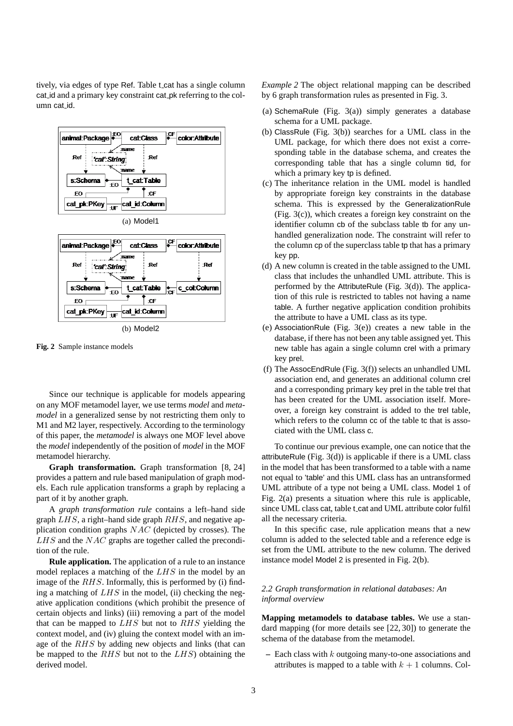tively, via edges of type Ref. Table t\_cat has a single column cat id and a primary key constraint cat pk referring to the column cat id.



**Fig. 2** Sample instance models

Since our technique is applicable for models appearing on any MOF metamodel layer, we use terms *model* and *metamodel* in a generalized sense by not restricting them only to M1 and M2 layer, respectively. According to the terminology of this paper, the *metamodel* is always one MOF level above the *model* independently of the position of *model* in the MOF metamodel hierarchy.

**Graph transformation.** Graph transformation [8, 24] provides a pattern and rule based manipulation of graph models. Each rule application transforms a graph by replacing a part of it by another graph.

A *graph transformation rule* contains a left–hand side graph  $LHS$ , a right–hand side graph  $RHS$ , and negative application condition graphs  $NAC$  (depicted by crosses). The  $LHS$  and the  $NAC$  graphs are together called the precondition of the rule.

**Rule application.** The application of a rule to an instance model replaces a matching of the LHS in the model by an image of the RHS. Informally, this is performed by (i) finding a matching of  $LHS$  in the model, (ii) checking the negative application conditions (which prohibit the presence of certain objects and links) (iii) removing a part of the model that can be mapped to  $LHS$  but not to  $RHS$  yielding the context model, and (iv) gluing the context model with an image of the RHS by adding new objects and links (that can be mapped to the  $RHS$  but not to the  $LHS$ ) obtaining the derived model.

*Example 2* The object relational mapping can be described by 6 graph transformation rules as presented in Fig. 3.

- (a) SchemaRule (Fig. 3(a)) simply generates a database schema for a UML package.
- (b) ClassRule (Fig. 3(b)) searches for a UML class in the UML package, for which there does not exist a corresponding table in the database schema, and creates the corresponding table that has a single column tid, for which a primary key tp is defined.
- (c) The inheritance relation in the UML model is handled by appropriate foreign key constraints in the database schema. This is expressed by the GeneralizationRule (Fig. 3(c)), which creates a foreign key constraint on the identifier column cb of the subclass table tb for any unhandled generalization node. The constraint will refer to the column cp of the superclass table tp that has a primary key pp.
- (d) A new column is created in the table assigned to the UML class that includes the unhandled UML attribute. This is performed by the AttributeRule (Fig. 3(d)). The application of this rule is restricted to tables not having a name table. A further negative application condition prohibits the attribute to have a UML class as its type.
- (e) AssociationRule (Fig. 3(e)) creates a new table in the database, if there has not been any table assigned yet. This new table has again a single column crel with a primary key prel.
- (f) The AssocEndRule (Fig. 3(f)) selects an unhandled UML association end, and generates an additional column crel and a corresponding primary key prel in the table trel that has been created for the UML association itself. Moreover, a foreign key constraint is added to the trel table, which refers to the column cc of the table tc that is associated with the UML class c.

To continue our previous example, one can notice that the attributeRule (Fig. 3(d)) is applicable if there is a UML class in the model that has been transformed to a table with a name not equal to 'table' and this UML class has an untransformed UML attribute of a type not being a UML class. Model 1 of Fig. 2(a) presents a situation where this rule is applicable, since UML class cat, table t\_cat and UML attribute color fulfil all the necessary criteria.

In this specific case, rule application means that a new column is added to the selected table and a reference edge is set from the UML attribute to the new column. The derived instance model Model 2 is presented in Fig. 2(b).

# *2.2 Graph transformation in relational databases: An informal overview*

**Mapping metamodels to database tables.** We use a standard mapping (for more details see [22, 30]) to generate the schema of the database from the metamodel.

**–** Each class with k outgoing many-to-one associations and attributes is mapped to a table with  $k + 1$  columns. Col-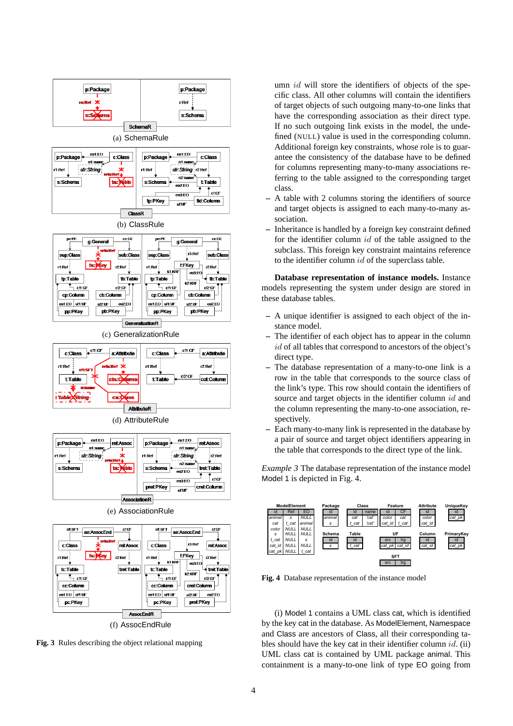

**Fig. 3** Rules describing the object relational mapping

umn *id* will store the identifiers of objects of the specific class. All other columns will contain the identifiers of target objects of such outgoing many-to-one links that have the corresponding association as their direct type. If no such outgoing link exists in the model, the undefined (NULL) value is used in the corresponding column. Additional foreign key constraints, whose role is to guarantee the consistency of the database have to be defined for columns representing many-to-many associations referring to the table assigned to the corresponding target class.

- **–** A table with 2 columns storing the identifiers of source and target objects is assigned to each many-to-many association.
- **–** Inheritance is handled by a foreign key constraint defined for the identifier column  $id$  of the table assigned to the subclass. This foreign key constraint maintains reference to the identifier column  $id$  of the superclass table.

**Database representation of instance models.** Instance models representing the system under design are stored in these database tables.

- **–** A unique identifier is assigned to each object of the instance model.
- **–** The identifier of each object has to appear in the column id of all tables that correspond to ancestors of the object's direct type.
- **–** The database representation of a many-to-one link is a row in the table that corresponds to the source class of the link's type. This row should contain the identifiers of source and target objects in the identifier column id and the column representing the many-to-one association, respectively.
- **–** Each many-to-many link is represented in the database by a pair of source and target object identifiers appearing in the table that corresponds to the direct type of the link.

*Example 3* The database representation of the instance model Model 1 is depicted in Fig. 4.



**Fig. 4** Database representation of the instance model

(i) Model 1 contains a UML class cat, which is identified by the key cat in the database. As ModelElement, Namespace and Class are ancestors of Class, all their corresponding tables should have the key cat in their identifier column  $id.$  (ii) UML class cat is contained by UML package animal. This containment is a many-to-one link of type EO going from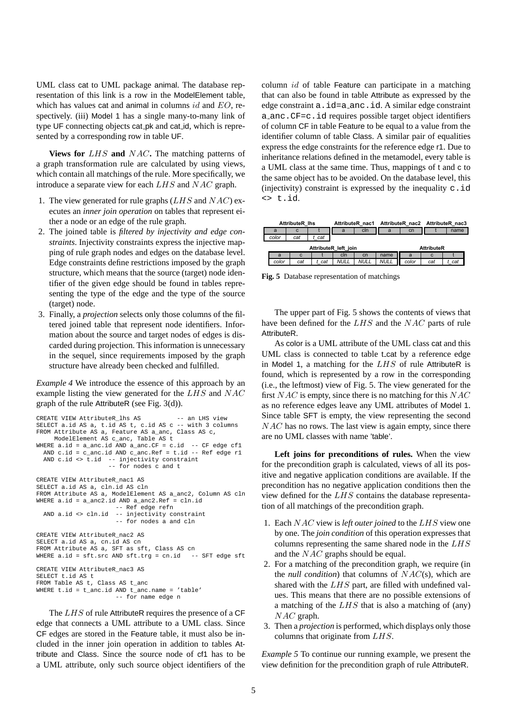UML class cat to UML package animal. The database representation of this link is a row in the ModelElement table, which has values cat and animal in columns id and  $EO$ , respectively. (iii) Model 1 has a single many-to-many link of type UF connecting objects cat pk and cat id, which is represented by a corresponding row in table UF.

**Views for** LHS **and** NAC**.** The matching patterns of a graph transformation rule are calculated by using views, which contain all matchings of the rule. More specifically, we introduce a separate view for each LHS and NAC graph.

- 1. The view generated for rule graphs  $(LHS \text{ and } NAC)$  executes an *inner join operation* on tables that represent either a node or an edge of the rule graph.
- 2. The joined table is *filtered by injectivity and edge constraints*. Injectivity constraints express the injective mapping of rule graph nodes and edges on the database level. Edge constraints define restrictions imposed by the graph structure, which means that the source (target) node identifier of the given edge should be found in tables representing the type of the edge and the type of the source (target) node.
- 3. Finally, a *projection* selects only those columns of the filtered joined table that represent node identifiers. Information about the source and target nodes of edges is discarded during projection. This information is unnecessary in the sequel, since requirements imposed by the graph structure have already been checked and fulfilled.

*Example 4* We introduce the essence of this approach by an example listing the view generated for the LHS and NAC graph of the rule AttributeR (see Fig. 3(d)).

```
CREATE VIEW AttributeR_lhs AS -- an LHS view
SELECT a.id AS a, t.id AS t, c.id AS c -- with 3 columns
FROM Attribute AS a, Feature AS a_anc, Class AS c,
     ModelElement AS c_anc, Table AS t
WHERE a.id = a_anc.id AND a_anc.CF = c.id -- CF edge cf1
  AND c.id = c_anc.id AND c_anc.Ref = t.id -- Ref edge r1
  AND c.id <> t.id -- injectivity constraint
-- for nodes c and t
CREATE VIEW AttributeR_nac1_AS
SELECT a.id AS a, cln.id AS cln
FROM Attribute AS a, ModelElement AS a_anc2, Column AS cln
WHERE a.id = a_anc2.id AND a_anc2.net = cln.id-- Ref edge refn
  AND a.id <> cln.id -- injectivity constraint
                        -- for nodes a and cln
CREATE VIEW AttributeR_nac2 AS
SELECT a.id AS a, cn.id AS cn
FROM Attribute AS a, SFT as sft, Class AS cn
WHERE a.id = sft.src AND sft.trg = cn.id -- SFT edge sft
CREATE VIEW AttributeR_nac3 AS
SELECT t.id AS t
FROM Table AS t, Class AS t_anc
WHERE t.id = t_anc.id AND t_anc.name = 'table'
                        -- for name edge n
```
The LHS of rule AttributeR requires the presence of a CF edge that connects a UML attribute to a UML class. Since CF edges are stored in the Feature table, it must also be included in the inner join operation in addition to tables Attribute and Class. Since the source node of cf1 has to be a UML attribute, only such source object identifiers of the column id of table Feature can participate in a matching that can also be found in table Attribute as expressed by the edge constraint a.id=a anc.id. A similar edge constraint a anc.CF=c.id requires possible target object identifiers of column CF in table Feature to be equal to a value from the identifier column of table Class. A similar pair of equalities express the edge constraints for the reference edge r1. Due to inheritance relations defined in the metamodel, every table is a UML class at the same time. Thus, mappings of t and c to the same object has to be avoided. On the database level, this (injectivity) constraint is expressed by the inequality  $c$ . id <> t.id.



**Fig. 5** Database representation of matchings

The upper part of Fig. 5 shows the contents of views that have been defined for the LHS and the NAC parts of rule AttributeR.

As color is a UML attribute of the UML class cat and this UML class is connected to table t\_cat by a reference edge in Model 1, a matching for the  $LHS$  of rule AttributeR is found, which is represented by a row in the corresponding (i.e., the leftmost) view of Fig. 5. The view generated for the first  $NAC$  is empty, since there is no matching for this  $NAC$ as no reference edges leave any UML attributes of Model 1. Since table SFT is empty, the view representing the second NAC has no rows. The last view is again empty, since there are no UML classes with name 'table'.

**Left joins for preconditions of rules.** When the view for the precondition graph is calculated, views of all its positive and negative application conditions are available. If the precondition has no negative application conditions then the view defined for the LHS contains the database representation of all matchings of the precondition graph.

- 1. Each NAC view is *left outer joined* to the LHS view one by one. The *join condition* of this operation expresses that columns representing the same shared node in the LHS and the  $NAC$  graphs should be equal.
- 2. For a matching of the precondition graph, we require (in the *null condition*) that columns of NAC(s), which are shared with the LHS part, are filled with undefined values. This means that there are no possible extensions of a matching of the  $LHS$  that is also a matching of (any) NAC graph.
- 3. Then a *projection* is performed, which displays only those columns that originate from LHS.

*Example 5* To continue our running example, we present the view definition for the precondition graph of rule AttributeR.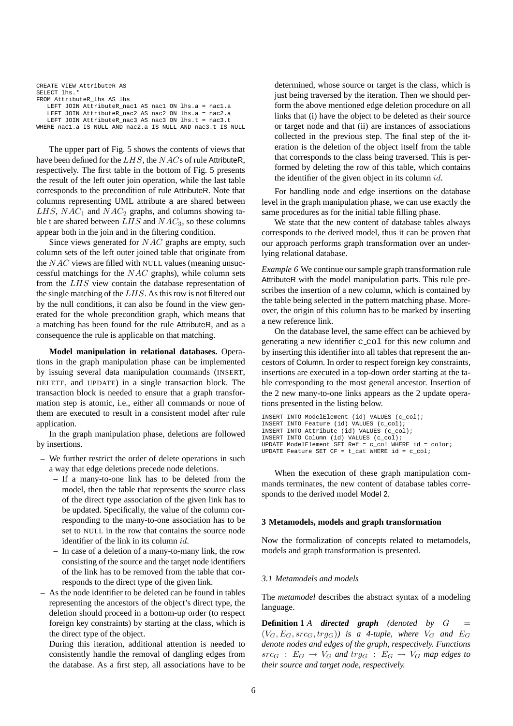| CREATE VIEW AttributeR AS |                                                            |  |  |  |  |
|---------------------------|------------------------------------------------------------|--|--|--|--|
| SELECT lhs.*              |                                                            |  |  |  |  |
|                           | FROM AttributeR lhs AS lhs                                 |  |  |  |  |
|                           | LEFT JOIN AttributeR nacl AS nacl ON lhs.a = nacl.a        |  |  |  |  |
|                           | LEFT JOIN AttributeR nac2 AS nac2 ON lhs.a = nac2.a        |  |  |  |  |
|                           | LEFT JOIN AttributeR nac3 AS nac3 ON $lhs.t = nac3.t$      |  |  |  |  |
|                           | WHERE nac1.a IS NULL AND nac2.a IS NULL AND nac3.t IS NULL |  |  |  |  |

The upper part of Fig. 5 shows the contents of views that have been defined for the  $LHS$ , the  $NACS$  of rule AttributeR. respectively. The first table in the bottom of Fig. 5 presents the result of the left outer join operation, while the last table corresponds to the precondition of rule AttributeR. Note that columns representing UML attribute a are shared between  $LHS$ ,  $NAC_1$  and  $NAC_2$  graphs, and columns showing table t are shared between  $LHS$  and  $NAC_3$ , so these columns appear both in the join and in the filtering condition.

Since views generated for  $NAC$  graphs are empty, such column sets of the left outer joined table that originate from the NAC views are filled with NULL values (meaning unsuccessful matchings for the  $NAC$  graphs), while column sets from the LHS view contain the database representation of the single matching of the  $LHS$ . As this row is not filtered out by the null conditions, it can also be found in the view generated for the whole precondition graph, which means that a matching has been found for the rule AttributeR, and as a consequence the rule is applicable on that matching.

**Model manipulation in relational databases.** Operations in the graph manipulation phase can be implemented by issuing several data manipulation commands (INSERT, DELETE, and UPDATE) in a single transaction block. The transaction block is needed to ensure that a graph transformation step is atomic, i.e., either all commands or none of them are executed to result in a consistent model after rule application.

In the graph manipulation phase, deletions are followed by insertions.

- **–** We further restrict the order of delete operations in such a way that edge deletions precede node deletions.
	- **–** If a many-to-one link has to be deleted from the model, then the table that represents the source class of the direct type association of the given link has to be updated. Specifically, the value of the column corresponding to the many-to-one association has to be set to NULL in the row that contains the source node identifier of the link in its column *id*.
	- **–** In case of a deletion of a many-to-many link, the row consisting of the source and the target node identifiers of the link has to be removed from the table that corresponds to the direct type of the given link.
- **–** As the node identifier to be deleted can be found in tables representing the ancestors of the object's direct type, the deletion should proceed in a bottom-up order (to respect foreign key constraints) by starting at the class, which is the direct type of the object.

During this iteration, additional attention is needed to consistently handle the removal of dangling edges from the database. As a first step, all associations have to be

determined, whose source or target is the class, which is just being traversed by the iteration. Then we should perform the above mentioned edge deletion procedure on all links that (i) have the object to be deleted as their source or target node and that (ii) are instances of associations collected in the previous step. The final step of the iteration is the deletion of the object itself from the table that corresponds to the class being traversed. This is performed by deleting the row of this table, which contains the identifier of the given object in its column  $id$ .

For handling node and edge insertions on the database level in the graph manipulation phase, we can use exactly the same procedures as for the initial table filling phase.

We state that the new content of database tables always corresponds to the derived model, thus it can be proven that our approach performs graph transformation over an underlying relational database.

*Example 6* We continue our sample graph transformation rule AttributeR with the model manipulation parts. This rule prescribes the insertion of a new column, which is contained by the table being selected in the pattern matching phase. Moreover, the origin of this column has to be marked by inserting a new reference link.

On the database level, the same effect can be achieved by generating a new identifier c\_col for this new column and by inserting this identifier into all tables that represent the ancestors of Column. In order to respect foreign key constraints, insertions are executed in a top-down order starting at the table corresponding to the most general ancestor. Insertion of the 2 new many-to-one links appears as the 2 update operations presented in the listing below.

```
INSERT INTO ModelElement (id) VALUES (c_col);
INSERT INTO Feature (id) VALUES (c_col);
INSERT INTO Attribute (id) VALUES (c_col);
INSERT INTO Column (id) VALUES (c_col);
UPDATE ModelElement SET Ref = c_col WHERE id = color;
UPDATE Feature SET CF = t cat WHERE id = c col;
```
When the execution of these graph manipulation commands terminates, the new content of database tables corresponds to the derived model Model 2.

#### **3 Metamodels, models and graph transformation**

Now the formalization of concepts related to metamodels, models and graph transformation is presented.

# *3.1 Metamodels and models*

The *metamodel* describes the abstract syntax of a modeling language.

**Definition 1** *A* **directed graph** (denoted by G  $(V_G, E_G, src_G, trg_G)$ *)* is a 4-tuple, where  $V_G$  and  $E_G$ *denote nodes and edges of the graph, respectively. Functions*  $src_G : E_G \rightarrow V_G$  and  $trg_G : E_G \rightarrow V_G$  map edges to *their source and target node, respectively.*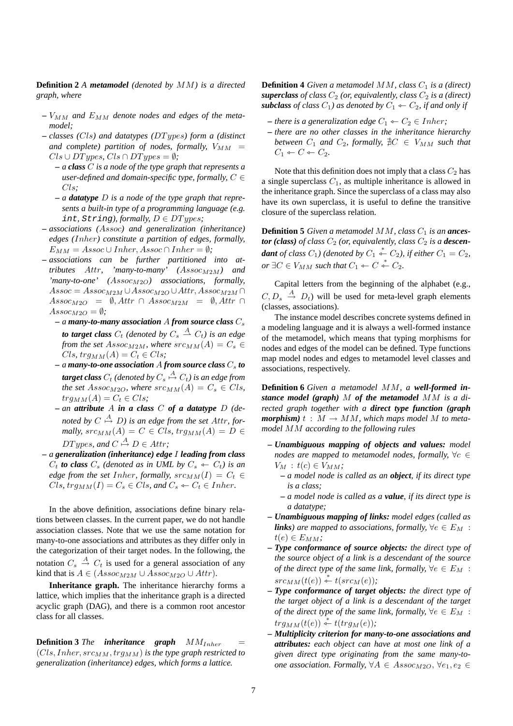**Definition 2** *A metamodel (denoted by* MM*) is a directed graph, where*

- $-V_{MM}$  and  $E_{MM}$  denote nodes and edges of the meta*model;*
- **–** *classes (*Cls*) and datatypes (*DT ypes*) form a (distinct* and complete) partition of nodes, formally,  $V_{MM}$  =  $Cls \cup DTypes, Cls \cap DTypes = \emptyset;$ 
	- **–** *a class* C *is a node of the type graph that represents a user-defined and domain-specific type, formally,*  $C \in$ Cls*;*
	- **–** *a datatype* D *is a node of the type graph that represents a built-in type of a programming language (e.g.* int, String), formally,  $D \in DTypes$ ;
- **–** *associations (*Assoc*) and generalization (inheritance) edges (*Inher*) constitute a partition of edges, formally,*  $E_{MM} = Assoc \cup Inner, Assoc \cap Inner = \emptyset;$
- **–** *associations can be further partitioned into at* $tributes$   $Attr, 'many-to-many'$   $(Assoc_{M2M})$  and *'many-to-one'*  $(Assoc_{M2O})$  associations, formally,  $Assoc = Assoc_{M2M} \cup Assoc_{M2O} \cup Attr, Assoc_{M2M} \cap$  $\text{Assoc}_{M2O}$  = Ø, Attr ∩ Assoc<sub>M2M</sub> = Ø, Attr ∩  $\Lambda ssc_{M2O} = \emptyset$ ;
	- $-$  *a* many-to-many association A from source class  $C_s$ **to target class**  $C_t$  (denoted by  $C_s \stackrel{A}{\rightharpoonup} C_t$ ) is an edge *from the set Assoc<sub>M2M</sub>*, where  $src_{MM}(A) = C_s \in$  $Cls, trg_{MM}(A) = C_t \in Cls;$
	- **–** *a many-to-one association* A *from source class* C<sup>s</sup> *to*  $\bm{target}$  class  $C_t$  (denoted by  $C_s \stackrel{A}{\mapsto} C_t$ ) is an edge from *the set* Assoc<sub>M2O</sub>, where  $src_{MM}(A) = C_s \in Cls$ ,  $trg_{MM}(A) = C_t \in Cls;$
	- **–** *an attribute* A *in a class* C *of a datatype* D *(de*noted by  $C \stackrel{A}{\mapsto} D$ ) is an edge from the set Attr, for*mally,*  $src_{MM}(A) = C \in Cls$ ,  $trg_{MM}(A) = D \in$  $DTypes, and C \overset{A}{\mapsto} D \in Attr;$
- **–** *a generalization (inheritance) edge* I *leading from class*  $C_t$  **to class**  $C_s$  (denoted as in UML by  $C_s \leftarrow C_t$ ) is an *edge from the set Inher, formally,*  $src_{MM}(I) = C_t \in$  $Cls, trg_{MM}(I) = C_s \in Cls$ , and  $C_s \leftarrow C_t \in Inher.$

In the above definition, associations define binary relations between classes. In the current paper, we do not handle association classes. Note that we use the same notation for many-to-one associations and attributes as they differ only in the categorization of their target nodes. In the following, the notation  $C_s \stackrel{A}{\rightarrow} C_t$  is used for a general association of any kind that is  $A \in (Assoc_{M2M} \cup Assoc_{M2O} \cup Attr)$ .

**Inheritance graph.** The inheritance hierarchy forms a lattice, which implies that the inheritance graph is a directed acyclic graph (DAG), and there is a common root ancestor class for all classes.

**Definition 3** *The inheritance* **graph**  $MM_{Inher}$  $(Cls, Inher, src<sub>MM</sub>, trg<sub>MM</sub>)$  *is the type graph restricted to generalization (inheritance) edges, which forms a lattice.*

**Definition 4** *Given a metamodel MM*, *class*  $C_1$  *is a (direct) superclass of class*  $C_2$  *(or, equivalently, class*  $C_2$  *is a (direct) subclass of class*  $C_1$ *) as denoted by*  $C_1 \leftarrow C_2$ *, if and only if* 

- $-$  *there is a generalization edge*  $C_1 \leftarrow C_2 \in Inher;$
- **–** *there are no other classes in the inheritance hierarchy between*  $C_1$  *and*  $C_2$ *, formally,*  $\sharp C \in V_{MM}$  *such that*  $C_1 \leftarrow C \leftarrow C_2$ .

Note that this definition does not imply that a class  $C_2$  has a single superclass  $C_1$ , as multiple inheritance is allowed in the inheritance graph. Since the superclass of a class may also have its own superclass, it is useful to define the transitive closure of the superclass relation.

Definition 5 *Given a metamodel MM*, class  $C_1$  *is an ancestor (class) of class*  $C_2$  *(or, equivalently, class*  $C_2$  *is a descendant of class*  $C_1$ *)* (denoted by  $C_1 \stackrel{*}{\leftarrow} C_2$ *), if either*  $C_1 = C_2$ , *or*  $\exists C \in V_{MM}$  *such that*  $C_1 \leftarrow C \stackrel{*}{\leftarrow} C_2$ *.* 

Capital letters from the beginning of the alphabet (e.g.,  $C, D_s \stackrel{A}{\rightarrow} D_t$ ) will be used for meta-level graph elements (classes, associations).

The instance model describes concrete systems defined in a modeling language and it is always a well-formed instance of the metamodel, which means that typing morphisms for nodes and edges of the model can be defined. Type functions map model nodes and edges to metamodel level classes and associations, respectively.

**Definition 6** *Given a metamodel* MM*, a well-formed instance model (graph)* M *of the metamodel* MM *is a directed graph together with a direct type function (graph morphism*)  $t : M \to MM$ , which maps model M to meta*model* MM *according to the following rules*

- **–** *Unambiguous mapping of objects and values: model nodes are mapped to metamodel nodes, formally,*  $\forall c \in \mathbb{R}$  $V_M : t(c) \in V_{MM}$ ;
	- **–** *a model node is called as an object, if its direct type is a class;*
	- **–** *a model node is called as a value, if its direct type is a datatype;*
- **–** *Unambiguous mapping of links: model edges (called as links*) are mapped to associations, formally,  $\forall e \in E_M$ :  $t(e) \in E_{MM}$ ;
- **–** *Type conformance of source objects: the direct type of the source object of a link is a descendant of the source of the direct type of the same link, formally,*  $\forall e \in E_M$ :  $src_{MM}(t(e)) \overset{*}{\leftarrow} t(src_M(e));$
- **–** *Type conformance of target objects: the direct type of the target object of a link is a descendant of the target of the direct type of the same link, formally,*  $\forall e \in E_M$ :  $trg_{MM}(t(e)) \stackrel{*}{\leftarrow} t(trg_{M}(e));$
- **–** *Multiplicity criterion for many-to-one associations and attributes: each object can have at most one link of a given direct type originating from the same many-toone association. Formally,*  $\forall A \in Assoc_{M2O}, \forall e_1, e_2 \in$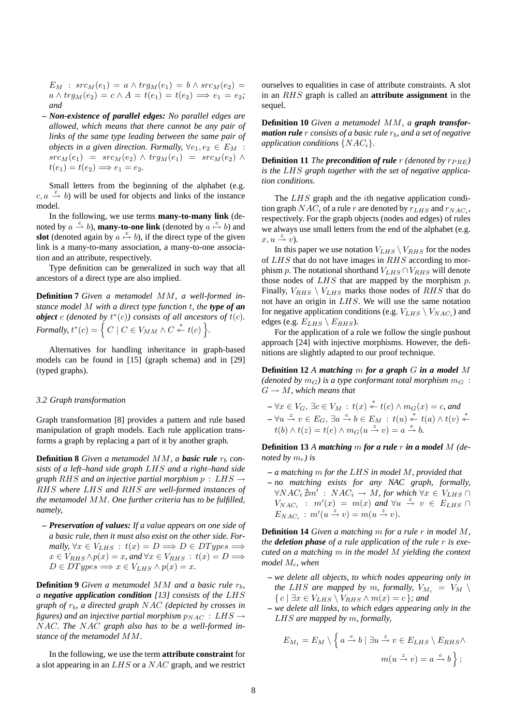$E_M$ :  $src_M(e_1) = a \wedge trg_M(e_1) = b \wedge src_M(e_2)$  $a \wedge trg_M(e_2) = c \wedge A = t(e_1) = t(e_2) \Longrightarrow e_1 = e_2;$ *and*

**–** *Non-existence of parallel edges: No parallel edges are allowed, which means that there cannot be any pair of links of the same type leading between the same pair of objects in a given direction. Formally,*  $\forall e_1, e_2 \in E_M$ :  $src_M(e_1) = src_M(e_2) \wedge trg_M(e_1) = src_M(e_2) \wedge$  $t(e_1) = t(e_2) \Longrightarrow e_1 = e_2.$ 

Small letters from the beginning of the alphabet (e.g.  $c, a \stackrel{e}{\rightarrow} b$ ) will be used for objects and links of the instance model.

In the following, we use terms **many-to-many link** (denoted by  $a \stackrel{e}{\rightharpoonup} b$ ), **many-to-one link** (denoted by  $a \stackrel{e}{\rightharpoonup} b$ ) and **slot** (denoted again by  $a \stackrel{e}{\mapsto} b$ ), if the direct type of the given link is a many-to-many association, a many-to-one association and an attribute, respectively.

Type definition can be generalized in such way that all ancestors of a direct type are also implied.

**Definition 7** *Given a metamodel* MM*, a well-formed instance model* M *with a direct type function* t*, the type of an object* c (denoted by  $t^*(c)$ ) consists of all ancestors of  $t(c)$ . *Formally,*  $t^*(c) = \left\{ C \mid C \in V_{MM} \wedge C \stackrel{*}{\leftarrow} t(c) \right\}.$ 

Alternatives for handling inheritance in graph-based models can be found in [15] (graph schema) and in [29] (typed graphs).

### *3.2 Graph transformation*

Graph transformation [8] provides a pattern and rule based manipulation of graph models. Each rule application transforms a graph by replacing a part of it by another graph.

**Definition 8** *Given a metamodel MM*, *a basic rule*  $r<sub>b</sub>$  *consists of a left–hand side graph* LHS *and a right–hand side graph* RHS *and an injective partial morphism* p : LHS → RHS *where* LHS *and* RHS *are well-formed instances of the metamodel* MM*. One further criteria has to be fulfilled, namely,*

**–** *Preservation of values: If a value appears on one side of a basic rule, then it must also exist on the other side. Formally,*  $\forall x \in V_{LHS} : t(x) = D \Longrightarrow D \in DTypes \Longrightarrow$  $x \in V_{RHS} \wedge p(x) = x$ , and  $\forall x \in V_{RHS} : t(x) = D \Longrightarrow$  $D \in DTypes \Longrightarrow x \in V_{LHS} \wedge p(x) = x.$ 

**Definition 9** *Given a metamodel MM and a basic rule*  $r_b$ , *a negative application condition [13] consists of the* LHS *graph of* rb*, a directed graph* NAC *(depicted by crosses in figures) and an injective partial morphism*  $p_{NAC}$  : LHS  $\rightarrow$ NAC*. The* NAC *graph also has to be a well-formed instance of the metamodel* MM*.*

In the following, we use the term **attribute constraint** for a slot appearing in an  $LHS$  or a  $NAC$  graph, and we restrict ourselves to equalities in case of attribute constraints. A slot in an RHS graph is called an **attribute assignment** in the sequel.

**Definition 10** *Given a metamodel* MM*, a graph transformation rule r consists of a basic rule*  $r_b$ *, and a set of negative application conditions*  $\{NAC_i\}$ *.* 

**Definition 11** *The precondition of rule*  $r$  *(denoted by*  $r_{PRE}$ ) *is the* LHS *graph together with the set of negative application conditions.*

The LHS graph and the *i*th negative application condition graph  $NAC_i$  of a rule r are denoted by  $r_{LHS}$  and  $r_{NAC_i}$ , respectively. For the graph objects (nodes and edges) of rules we always use small letters from the end of the alphabet (e.g.  $x, u \stackrel{z}{\rightarrow} v$ ).

In this paper we use notation  $V_{LHS} \setminus V_{RHS}$  for the nodes of LHS that do not have images in RHS according to morphism p. The notational shorthand  $V_{LHS} \cap V_{RHS}$  will denote those nodes of  $LHS$  that are mapped by the morphism  $p$ . Finally,  $V_{RHS} \setminus V_{LHS}$  marks those nodes of  $RHS$  that do not have an origin in LHS. We will use the same notation for negative application conditions (e.g.  $V_{LHS} \setminus V_{NAC_i}$ ) and edges (e.g.  $E_{LHS} \setminus E_{RHS}$ ).

For the application of a rule we follow the single pushout approach [24] with injective morphisms. However, the definitions are slightly adapted to our proof technique.

**Definition 12** *A matching* m *for a graph* G *in a model* M *(denoted by*  $m_G$ *) is a type conformant total morphism*  $m_G$  :  $G \rightarrow M$ , which means that

**–**  $\forall x \in V_G, \exists c \in V_M : t(x) \stackrel{*}{\leftarrow} t(c) \land m_G(x) = c$ , and  $-\forall u \stackrel{z}{\rightarrow} v \in E_G$ ,  $\exists a \stackrel{e}{\rightarrow} b \in E_M$  :  $t(u) \stackrel{*}{\leftarrow} t(a) \wedge t(v) \stackrel{*}{\leftarrow} t(a)$  $t(b) \wedge t(z) = t(e) \wedge m_G(u \stackrel{z}{\rightarrow} v) = a \stackrel{e}{\rightarrow} b.$ 

**Definition 13** *A matching* m *for a rule* r *in a model* M *(denoted by*  $m_r$ *)* is

- **–** *a matching* m *for the* LHS *in model* M*, provided that*
- **–** *no matching exists for any NAC graph, formally,*  $\forall NAC_i \, \nexists m' \; : \; NAC_i \rightarrow M$ , for which  $\forall x \in V_{LHS} \cap$  $V_{NAC_i}$ :  $m'(x) = m(x)$  *and*  $\forall u \stackrel{z}{\rightarrow} v \in E_{LHS}$  $E_{NAC_i}$  :  $m'(u \stackrel{z}{\rightarrow} v) = m(u \stackrel{z}{\rightarrow} v).$

**Definition 14** *Given a matching* m *for a rule* r *in model* M*, the deletion phase of a rule application of the rule* r *is executed on a matching* m *in the model* M *yielding the context model*  $M_c$ *, when* 

- **–** *we delete all objects, to which nodes appearing only in the LHS are mapped by m, formally,*  $V_{M_c} = V_M \setminus$  $\{c \mid \exists x \in V_{LHS} \setminus V_{RHS} \land m(x) = c\};$  and
- **–** *we delete all links, to which edges appearing only in the* LHS *are mapped by* m*, formally,*

$$
E_{M_1} = E_M \setminus \left\{ a \stackrel{e}{\rightarrow} b \mid \exists u \stackrel{z}{\rightarrow} v \in E_{LHS} \setminus E_{RHS} \wedge
$$

$$
m(u \stackrel{z}{\rightarrow} v) = a \stackrel{e}{\rightarrow} b \right\};
$$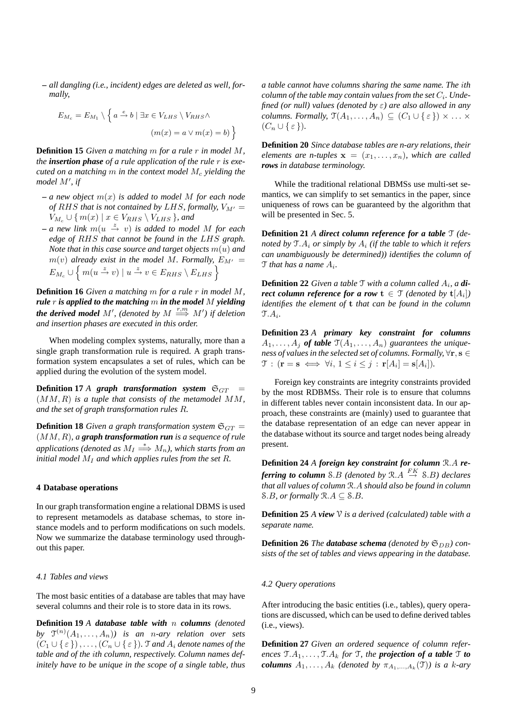**–** *all dangling (i.e., incident) edges are deleted as well, formally,*

$$
E_{M_c} = E_{M_1} \setminus \left\{ a \xrightarrow{e} b \mid \exists x \in V_{LHS} \setminus V_{RHS} \wedge
$$

$$
(m(x) = a \vee m(x) = b) \right\}
$$

**Definition 15** *Given a matching* m *for a rule* r *in model* M*, the insertion phase of a rule application of the rule* r *is executed on a matching* m *in the context model*  $M_c$  *yielding the* model  $M'$ , if

- **–** *a new object* m(x) *is added to model* M *for each node of* RHS that is not contained by LHS, formally,  $V_{M'} =$  $V_{M_c} \cup \{ m(x) \mid x \in V_{RHS} \setminus V_{LHS} \}$ *, and*
- $-$  *a* new link  $m(u \stackrel{z}{\rightarrow} v)$  is added to model M for each *edge of* RHS *that cannot be found in the* LHS *graph. Note that in this case source and target objects* m(u) *and*  $m(v)$  already exist in the model M. Formally,  $E_{M'} =$  $E_{M_c} \cup \left\{ m(u \stackrel{z}{\rightarrow} v) \mid u \stackrel{z}{\rightarrow} v \in E_{RHS} \setminus E_{LHS} \right\}$

**Definition 16** *Given a matching* m *for a rule* r *in model* M*, rule* r *is applied to the matching* m *in the model* M *yielding the derived model M', (denoted by*  $M \stackrel{r,m}{\Longrightarrow} M'$ *) if deletion and insertion phases are executed in this order.*

When modeling complex systems, naturally, more than a single graph transformation rule is required. A graph transformation system encapsulates a set of rules, which can be applied during the evolution of the system model.

**Definition 17** *A* graph transformation system  $\mathfrak{S}_{GT}$  = (MM, R) *is a tuple that consists of the metamodel* MM*, and the set of graph transformation rules* R*.*

**Definition 18** *Given a graph transformation system*  $\mathfrak{S}_{GT}$  = (MM, R)*, a graph transformation run is a sequence of rule*  $a$ pplications (denoted as  $M_I \stackrel{*}{\Longrightarrow} M_n$ ), which starts from an *initial model*  $M_I$  *and which applies rules from the set*  $R$ *.* 

# **4 Database operations**

In our graph transformation engine a relational DBMS is used to represent metamodels as database schemas, to store instance models and to perform modifications on such models. Now we summarize the database terminology used throughout this paper.

#### *4.1 Tables and views*

The most basic entities of a database are tables that may have several columns and their role is to store data in its rows.

**Definition 19** *A database table with* n *columns (denoted by*  $\mathfrak{T}^{(n)}(A_1,\ldots,A_n)$ *)* is an *n*-ary relation over sets  $(C_1 \cup \{\varepsilon\}), \ldots, (C_n \cup \{\varepsilon\})$ . T *and*  $A_i$  *denote names of the table and of the* i*th column, respectively. Column names definitely have to be unique in the scope of a single table, thus*

*a table cannot have columns sharing the same name. The* i*th*  $column of the table may contain values from the set  $C_i$ . Unde$ *fined (or null) values (denoted by* ε*) are also allowed in any columns. Formally,*  $\mathfrak{T}(A_1, \ldots, A_n) \subseteq (C_1 \cup \{\varepsilon\}) \times \ldots \times$  $(C_n \cup \{\varepsilon\})$ .

**Definition 20** *Since database tables are n-ary relations, their elements are n-tuples*  $\mathbf{x} = (x_1, \ldots, x_n)$ *, which are called rows in database terminology.*

While the traditional relational DBMSs use multi-set semantics, we can simplify to set semantics in the paper, since uniqueness of rows can be guaranteed by the algorithm that will be presented in Sec. 5.

**Definition 21** *A direct column reference for a table* T *(denoted by* T.A<sup>i</sup> *or simply by* A<sup>i</sup> *(if the table to which it refers can unambiguously be determined)) identifies the column of*  $\mathfrak I$  *that has a name*  $A_i$ .

**Definition 22** *Given a table*  $\mathcal T$  *with a column called*  $A_i$ , *a direct column reference for a row*  $\mathbf{t} \in \mathcal{T}$  *(denoted by*  $\mathbf{t}[A_i]$ *) identifies the element of* t *that can be found in the column*  $\mathfrak{T}.A_i$ .

**Definition 23** *A primary key constraint for columns*  $A_1, \ldots, A_j$  of table  $\mathfrak{T}(A_1, \ldots, A_n)$  guarantees the unique*ness of values in the selected set of columns. Formally,* ∀r, s ∈  $\mathfrak{T}: (\mathbf{r} = \mathbf{s} \iff \forall i, 1 \leq i \leq j : \mathbf{r}[A_i] = \mathbf{s}[A_i]).$ 

Foreign key constraints are integrity constraints provided by the most RDBMSs. Their role is to ensure that columns in different tables never contain inconsistent data. In our approach, these constraints are (mainly) used to guarantee that the database representation of an edge can never appear in the database without its source and target nodes being already present.

**Definition 24** *A foreign key constraint for column* R.A *referring to column* S.B *(denoted by*  $\mathcal{R} \times A \overset{FK}{\rightarrow} S.B$ *) declares that all values of column* R.A *should also be found in column* S.B, or formally  $\mathcal{R} \subset \mathcal{S} \times \mathcal{B}$ .

**Definition 25** *A view* V *is a derived (calculated) table with a separate name.*

**Definition 26** *The database schema (denoted by*  $\mathfrak{S}_{DB}$ ) *consists of the set of tables and views appearing in the database.*

#### *4.2 Query operations*

After introducing the basic entities (i.e., tables), query operations are discussed, which can be used to define derived tables (i.e., views).

**Definition 27** *Given an ordered sequence of column references*  $T.A_1, \ldots, T.A_k$  *for*  $T$ *, the projection of a table*  $T$  *to columns*  $A_1, \ldots, A_k$  (denoted by  $\pi_{A_1, \ldots, A_k}(\mathcal{T})$ ) is a k-ary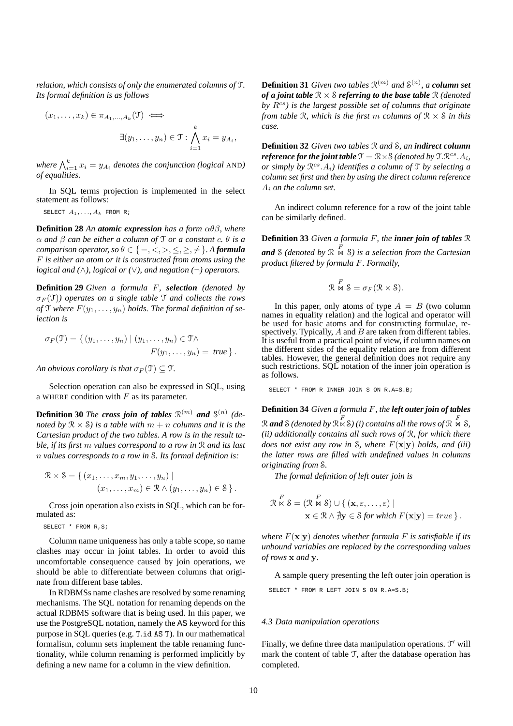*relation, which consists of only the enumerated columns of* T*. Its formal definition is as follows*

$$
(x_1, \ldots, x_k) \in \pi_{A_1, \ldots, A_k}(\mathfrak{T}) \iff
$$

$$
\exists (y_1, \ldots, y_n) \in \mathfrak{T} : \bigwedge_{i=1}^k x_i = y_{A_i},
$$

where  $\bigwedge_{i=1}^k x_i = y_{A_i}$  denotes the conjunction (logical AND) *of equalities.*

In SQL terms projection is implemented in the select statement as follows:

SELECT  $A_1, \ldots, A_k$  FROM R;

**Definition 28** *An atomic expression has a form* αθβ*, where* α *and* β *can be either a column of* T *or a constant* c*.* θ *is a comparison operator, so*  $\theta \in \{ =, <, >, \leq, \geq, \neq \}$ *. A formula* F *is either an atom or it is constructed from atoms using the logical and*  $(\wedge)$ *, logical or*  $(\vee)$ *, and negation*  $(\neg)$  *operators.* 

**Definition 29** *Given a formula* F*, selection (denoted by*  $\sigma_F(\mathfrak{T})$ *)* operates on a single table  $\mathfrak{T}$  and collects the rows of  $\mathcal T$  *where*  $F(y_1, \ldots, y_n)$  *holds. The formal definition of selection is*

$$
\sigma_F(\mathfrak{T}) = \{ (y_1, \ldots, y_n) \mid (y_1, \ldots, y_n) \in \mathfrak{T} \wedge
$$
  

$$
F(y_1, \ldots, y_n) = \text{true } \}.
$$

*An obvious corollary is that*  $\sigma_F(\mathcal{T}) \subseteq \mathcal{T}$ .

Selection operation can also be expressed in SQL, using a WHERE condition with  $F$  as its parameter.

**Definition 30** *The cross join of tables*  $\mathbb{R}^{(m)}$  *and*  $\mathbb{S}^{(n)}$  *(denoted by*  $\mathbb{R} \times \mathbb{S}$ *) is a table with*  $m + n$  *columns and it is the Cartesian product of the two tables. A row is in the result table, if its first* m *values correspond to a row in* R *and its last* n *values corresponds to a row in* S*. Its formal definition is:*

$$
\mathcal{R} \times \mathcal{S} = \{ (x_1, \dots, x_m, y_1, \dots, y_n) \mid (x_1, \dots, x_m) \in \mathcal{R} \land (y_1, \dots, y_n) \in \mathcal{S} \}.
$$

Cross join operation also exists in SQL, which can be formulated as:

SELECT \* FROM R, S;

Column name uniqueness has only a table scope, so name clashes may occur in joint tables. In order to avoid this uncomfortable consequence caused by join operations, we should be able to differentiate between columns that originate from different base tables.

In RDBMSs name clashes are resolved by some renaming mechanisms. The SQL notation for renaming depends on the actual RDBMS software that is being used. In this paper, we use the PostgreSQL notation, namely the AS keyword for this purpose in SQL queries (e.g. T.id AS T). In our mathematical formalism, column sets implement the table renaming functionality, while column renaming is performed implicitly by defining a new name for a column in the view definition.

**Definition 31** *Given two tables*  $\mathbb{R}^{(m)}$  *and*  $\mathbb{S}^{(n)}$ *, a column set of a joint table* R × S *referring to the base table* R *(denoted by*  $R^{cs}$ *)* is the largest possible set of columns that originate *from table*  $\Re$ , which is the first m columns of  $\Re \times \Im$  in this *case.*

**Definition 32** *Given two tables* R *and* S*, an indirect column reference for the joint table*  $\mathcal{T} = \mathbb{R} \times \mathbb{S}$  *(denoted by*  $\mathcal{T} . \mathbb{R}^{cs} . A_i$ *, or simply by* R cs.Ai*) identifies a column of* T *by selecting a column set first and then by using the direct column reference* A<sup>i</sup> *on the column set.*

An indirect column reference for a row of the joint table can be similarly defined.

**Definition 33** *Given a formula* F*, the inner join of tables* R **and** *S* (denoted by  $\mathcal{R} \overset{F}{\ltimes} S$ ) is a selection from the Cartesian *product filtered by formula* F*. Formally,*

$$
\mathcal{R} \stackrel{F}{\bowtie} \mathcal{S} = \sigma_F(\mathcal{R} \times \mathcal{S}).
$$

In this paper, only atoms of type  $A = B$  (two column names in equality relation) and the logical and operator will be used for basic atoms and for constructing formulae, respectively. Typically,  $A$  and  $B$  are taken from different tables. It is useful from a practical point of view, if column names on the different sides of the equality relation are from different tables. However, the general definition does not require any such restrictions. SQL notation of the inner join operation is as follows.

SELECT \* FROM R INNER JOIN S ON R.A=S.B;

**Definition 34** *Given a formula* F*, the left outer join of tables*  $\mathcal{R}$  and  $\mathcal{S}$  *(denoted by*  $\mathcal{R} \ltimes \mathcal{S}$ ) *(i) contains all the rows of*  $\mathcal{R} \overset{F}{\Join} \mathcal{S}$ , *(ii) additionally contains all such rows of* R*, for which there does not exist any row in* S*, where* F(x|y) *holds, and (iii) the latter rows are filled with undefined values in columns originating from* S*.*

*The formal definition of left outer join is*

$$
\mathcal{R} \overset{F}{\ltimes} \mathcal{S} = (\mathcal{R} \overset{F}{\rtimes} \mathcal{S}) \cup \{ (\mathbf{x}, \varepsilon, \dots, \varepsilon) \mid \mathbf{x} \in \mathcal{R} \land \nexists \mathbf{y} \in \mathcal{S} \text{ for which } F(\mathbf{x}|\mathbf{y}) = \text{true } \}.
$$

*where*  $F(\mathbf{x}|\mathbf{v})$  *denotes whether formula*  $F$  *is satisfiable if its unbound variables are replaced by the corresponding values of rows* x *and* y*.*

A sample query presenting the left outer join operation is

SELECT \* FROM R LEFT JOIN S ON R.A=S.B;

# *4.3 Data manipulation operations*

Finally, we define three data manipulation operations.  $J'$  will mark the content of table T, after the database operation has completed.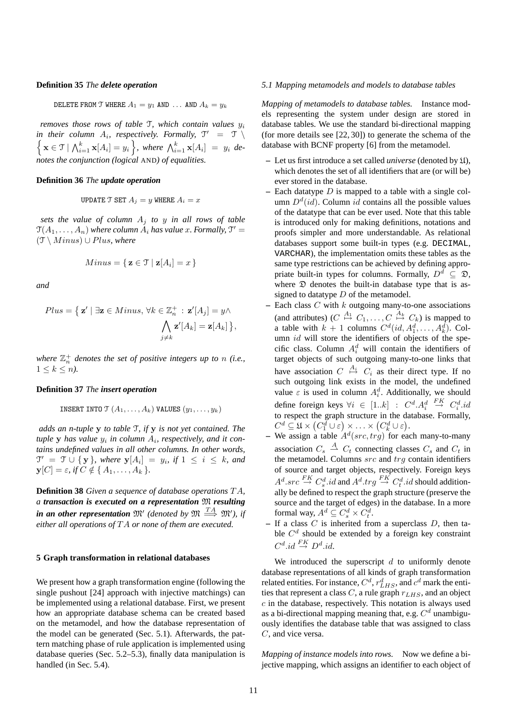# **Definition 35** *The delete operation*

DELETE FROM  $\mathcal T$  where  $A_1 = y_1$  and  $\ldots$  and  $A_k = y_k$ 

*removes those rows of table* T*, which contain values* y<sup>i</sup> in their column  $A_i$ , respectively. Formally,  $\mathfrak{T}' = \mathfrak{T} \setminus \mathfrak{S}$  $\Big\{ \mathbf{x} \in \mathcal{T} \mid \bigwedge_{i=1}^k \mathbf{x}[A_i] = y_i \Big\}$ , where  $\bigwedge_{i=1}^k \mathbf{x}[A_i] = y_i$  de*notes the conjunction (logical* AND*) of equalities.*

#### **Definition 36** *The update operation*

UPDATE T SET 
$$
A_j = y
$$
 WHERE  $A_i = x$ 

*sets the value of column* A<sup>j</sup> *to* y *in all rows of table*  $\mathfrak{T}(A_1,\ldots,A_n)$  where column  $A_i$  has value x. Formally,  $\mathfrak{T}' =$ (T \ M inus) ∪ Plus*, where*

$$
Minus = \{ \mathbf{z} \in \mathcal{T} \mid \mathbf{z}[A_i] = x \}
$$

*and*

$$
Plus = \left\{ \mathbf{z}' \mid \exists \mathbf{z} \in Minus, \forall k \in \mathbb{Z}_n^+ : \mathbf{z}'[A_j] = y \land \bigwedge_{j \neq k} \mathbf{z}'[A_k] = \mathbf{z}[A_k] \right\},
$$

where  $\mathbb{Z}_n^+$  denotes the set of positive integers up to  $n$  *(i.e.,*  $1 \leq k \leq n$ ).

#### **Definition 37** *The insert operation*

INSERT INTO  $\mathcal{T}(A_1, \ldots, A_k)$  VALUES  $(y_1, \ldots, y_k)$ 

*adds an n-tuple* y *to table* T*, if* y *is not yet contained. The tuple* y *has value* y<sup>i</sup> *in column* A<sup>i</sup> *, respectively, and it contains undefined values in all other columns. In other words,*  $\mathfrak{T}' = \mathfrak{T} \cup \{ \mathbf{y} \}$ , where  $\mathbf{y}[A_i] = y_i$ , if  $1 \leq i \leq k$ , and  $y[C] = \varepsilon$ , if  $C \notin \{A_1, \ldots, A_k\}.$ 

**Definition 38** *Given a sequence of database operations* T A*, a transaction is executed on a representation* M *resulting*  $\bm{i}$  **n** an other representation  $\mathfrak{M}'$  (denoted by  $\mathfrak{M} \stackrel{TA}{\Longrightarrow} \mathfrak{M}'$ ), if *either all operations of* T A *or none of them are executed.*

#### **5 Graph transformation in relational databases**

We present how a graph transformation engine (following the single pushout [24] approach with injective matchings) can be implemented using a relational database. First, we present how an appropriate database schema can be created based on the metamodel, and how the database representation of the model can be generated (Sec. 5.1). Afterwards, the pattern matching phase of rule application is implemented using database queries (Sec. 5.2–5.3), finally data manipulation is handled (in Sec. 5.4).

# *5.1 Mapping metamodels and models to database tables*

*Mapping of metamodels to database tables.* Instance models representing the system under design are stored in database tables. We use the standard bi-directional mapping (for more details see [22, 30]) to generate the schema of the database with BCNF property [6] from the metamodel.

- **–** Let us first introduce a set called *universe* (denoted by U), which denotes the set of all identifiers that are (or will be) ever stored in the database.
- **–** Each datatype D is mapped to a table with a single column  $D<sup>d</sup>(id)$ . Column id contains all the possible values of the datatype that can be ever used. Note that this table is introduced only for making definitions, notations and proofs simpler and more understandable. As relational databases support some built-in types (e.g. DECIMAL, VARCHAR), the implementation omits these tables as the same type restrictions can be achieved by defining appropriate built-in types for columns. Formally,  $D^d \subseteq \mathfrak{D}$ , where  $\mathcal D$  denotes the built-in database type that is assigned to datatype  $D$  of the metamodel.
- **–** Each class C with k outgoing many-to-one associations (and attributes)  $(C \stackrel{A_1}{\mapsto} C_1, \ldots, C \stackrel{A_k}{\mapsto} C_k)$  is mapped to a table with  $k + 1$  columns  $C^d(id, A_1^d, \ldots, A_k^d)$ . Column *id* will store the identifiers of objects of the specific class. Column  $A_i^d$  will contain the identifiers of target objects of such outgoing many-to-one links that have association  $C \stackrel{A_i}{\mapsto} C_i$  as their direct type. If no such outgoing link exists in the model, the undefined value  $\varepsilon$  is used in column  $A_i^d$ . Additionally, we should define foreign keys  $\forall i \in [1..k] : C^d.A_i^d \stackrel{FK}{\rightarrow} C_i^d.id$ to respect the graph structure in the database. Formally,  $C^d \subseteq \mathfrak{U} \times \left( C^d_1 \cup \varepsilon \right) \times \ldots \times \left( C^d_k \cup \varepsilon \right).$
- $-$  We assign a table  $A^d(src, trg)$  for each many-to-many association  $C_s \stackrel{A}{\rightharpoonup} C_t$  connecting classes  $C_s$  and  $C_t$  in the metamodel. Columns  $src$  and  $trq$  contain identifiers of source and target objects, respectively. Foreign keys  $A^d.src \stackrel{FK}{\rightarrow} C_s^d.id$  and  $A^d.trg \stackrel{FK}{\rightarrow} C_t^d.id$  should additionally be defined to respect the graph structure (preserve the source and the target of edges) in the database. In a more formal way,  $A^d \subseteq C_s^d \times C_t^d$ .
- **–** If a class C is inherited from a superclass D, then table  $C<sup>d</sup>$  should be extended by a foreign key constraint  $C^d$ .id  $\stackrel{FK}{\rightarrow} D^d$ .id.

We introduced the superscript  $d$  to uniformly denote database representations of all kinds of graph transformation related entities. For instance,  $C^d$ ,  $r_{LHS}^d$ , and  $c^d$  mark the entities that represent a class C, a rule graph  $r_{LHS}$ , and an object  $c$  in the database, respectively. This notation is always used as a bi-directional mapping meaning that, e.g.  $C<sup>d</sup>$  unambiguously identifies the database table that was assigned to class C, and vice versa.

*Mapping of instance models into rows.* Now we define a bijective mapping, which assigns an identifier to each object of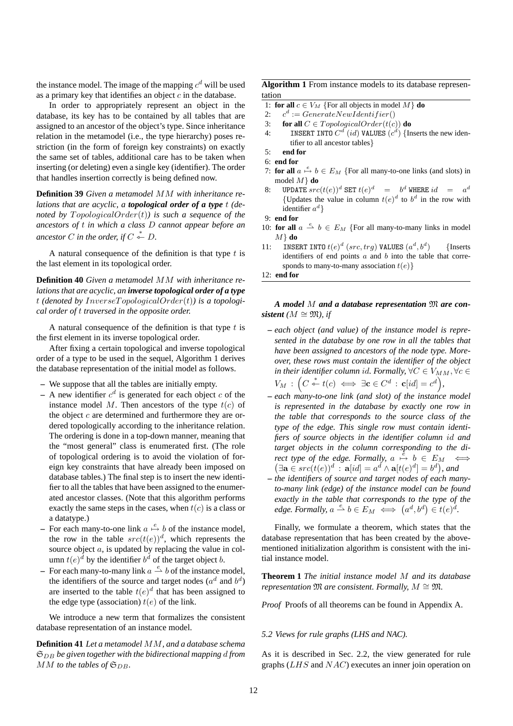the instance model. The image of the mapping  $c^d$  will be used as a primary key that identifies an object  $c$  in the database.

In order to appropriately represent an object in the database, its key has to be contained by all tables that are assigned to an ancestor of the object's type. Since inheritance relation in the metamodel (i.e., the type hierarchy) poses restriction (in the form of foreign key constraints) on exactly the same set of tables, additional care has to be taken when inserting (or deleting) even a single key (identifier). The order that handles insertion correctly is being defined now.

**Definition 39** *Given a metamodel* MM *with inheritance relations that are acyclic, a topological order of a type* t *(denoted by*  $TopologicalOrder(t)$ *) is such a sequence of the ancestors of* t *in which a class* D *cannot appear before an ancestor C in the order, if*  $C \stackrel{*}{\leftarrow} D$ *.* 

A natural consequence of the definition is that type  $t$  is the last element in its topological order.

**Definition 40** *Given a metamodel* MM *with inheritance relations that are acyclic, an inverse topological order of a type* t *(denoted by* InverseT opologicalOrder(t)*) is a topological order of* t *traversed in the opposite order.*

A natural consequence of the definition is that type  $t$  is the first element in its inverse topological order.

After fixing a certain topological and inverse topological order of a type to be used in the sequel, Algorithm 1 derives the database representation of the initial model as follows.

- **–** We suppose that all the tables are initially empty.
- $-$  A new identifier  $c^d$  is generated for each object c of the instance model M. Then ancestors of the type  $t(c)$  of the object  $c$  are determined and furthermore they are ordered topologically according to the inheritance relation. The ordering is done in a top-down manner, meaning that the "most general" class is enumerated first. (The role of topological ordering is to avoid the violation of foreign key constraints that have already been imposed on database tables.) The final step is to insert the new identifier to all the tables that have been assigned to the enumerated ancestor classes. (Note that this algorithm performs exactly the same steps in the cases, when  $t(c)$  is a class or a datatype.)
- $\overline{\phantom{a}}$  For each many-to-one link  $a \stackrel{e}{\mapsto} b$  of the instance model, the row in the table  $src(t(e))^d$ , which represents the source object  $a$ , is updated by replacing the value in column  $t(e)^d$  by the identifier  $b^d$  of the target object b.
- $\overline{\phantom{a}}$  For each many-to-many link  $a \stackrel{e}{\rightharpoonup} b$  of the instance model, the identifiers of the source and target nodes  $(a^d$  and  $b^d)$ are inserted to the table  $t(e)^d$  that has been assigned to the edge type (association)  $t(e)$  of the link.

We introduce a new term that formalizes the consistent database representation of an instance model.

**Definition 41** *Let a metamodel* MM*, and a database schema* SDB *be given together with the bidirectional mapping* d *from* MM *to the tables of*  $\mathfrak{S}_{DB}$ *.* 

# **Algorithm 1** From instance models to its database representation

- 1: **for all**  $c \in V_M$  {For all objects in model  $M$ } **do**
- $2:$  $e^d := \text{GenerateNewIdentity}$
- 3: **for all**  $C \in TopologicalOrder(t(c))$  **do**
- 4: INSERT INTO  $C<sup>d</sup>$  (*id*) VALUES  $(c<sup>d</sup>)$  {Inserts the new identifier to all ancestor tables}
- 5: **end for**
- 6: **end for**
- 7: **for all**  $a \stackrel{e}{\mapsto} b \in E_M$  {For all many-to-one links (and slots) in model M} **do**
- 8: UPDATE  $src(t(e))^d$  SET  $t(e)^d$  =  $b^d$  WHERE  $id$  =  $a^d$ {Updates the value in column  $t(e)^d$  to  $b^d$  in the row with identifier  $a^d$ }
- 9: **end for**
- 10: **for all**  $a \stackrel{e}{\rightarrow} b \in E_M$  {For all many-to-many links in model  $M$  **do**
- 11: INSERT INTO  $t(e)^d$  (src, trg) VALUES  $(a^d, b^d)$ ) {Inserts identifiers of end points  $a$  and  $b$  into the table that corresponds to many-to-many association  $t(e)$
- 12: **end for**

*A model* M *and a database representation* M *are consistent*  $(M \cong \mathfrak{M})$ *, if* 

- **–** *each object (and value) of the instance model is represented in the database by one row in all the tables that have been assigned to ancestors of the node type. Moreover, these rows must contain the identifier of the object in their identifier column id. Formally,*  $\forall C \in V_{MM}, \forall c \in$  $V_M$  :  $(C \stackrel{*}{\leftarrow} t(c) \iff \exists c \in C^d : c[i d] = c^d),$
- **–** *each many-to-one link (and slot) of the instance model is represented in the database by exactly one row in the table that corresponds to the source class of the type of the edge. This single row must contain identifiers of source objects in the identifier column* id *and target objects in the column corresponding to the direct type of the edge. Formally, a*  $\stackrel{\hat{e}}{\mapsto}$  *b*  $\in$   $\stackrel{\sim}{E}_M$   $\iff$  $(\exists \mathbf{a} \in \mathit{src}(t(e))^d : \mathbf{a}[id] = a^d \land \mathbf{a}[t(e)^d] = b^d)$ , and
- **–** *the identifiers of source and target nodes of each manyto-many link (edge) of the instance model can be found exactly in the table that corresponds to the type of the edge. Formally,*  $a \stackrel{e}{\longrightarrow} b \in E_M \iff (a^d, b^d) \in t(e)^d$ .

Finally, we formulate a theorem, which states that the database representation that has been created by the abovementioned initialization algorithm is consistent with the initial instance model.

**Theorem 1** *The initial instance model* M *and its database representation*  $\mathfrak{M}$  *are consistent. Formally,*  $M \cong \mathfrak{M}$ *.* 

*Proof* Proofs of all theorems can be found in Appendix A.

#### *5.2 Views for rule graphs (LHS and NAC).*

As it is described in Sec. 2.2, the view generated for rule graphs (LHS and NAC) executes an inner join operation on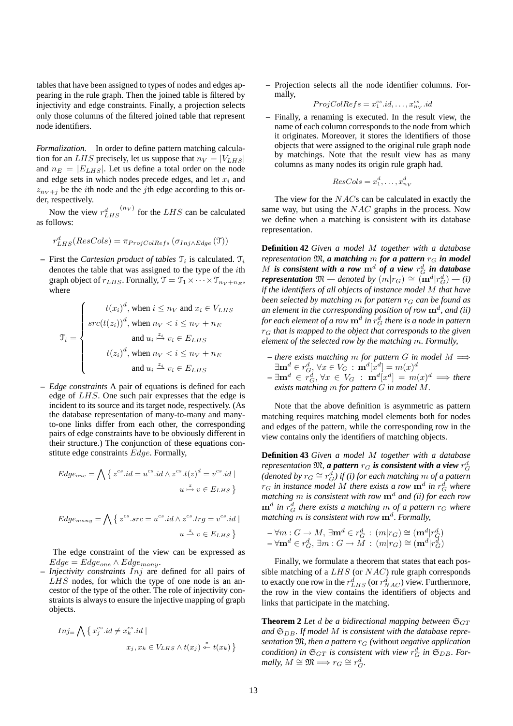tables that have been assigned to types of nodes and edges appearing in the rule graph. Then the joined table is filtered by injectivity and edge constraints. Finally, a projection selects only those columns of the filtered joined table that represent node identifiers.

*Formalization.* In order to define pattern matching calculation for an LHS precisely, let us suppose that  $n_V = |V_{LHS}|$ and  $n_E = |E_{LHS}|$ . Let us define a total order on the node and edge sets in which nodes precede edges, and let  $x_i$  and  $z_{n_V + j}$  be the *i*th node and the *j*th edge according to this order, respectively.

Now the view  $r_{LHS}^d$  $\binom{(n_V)}{n_H}$  for the *LHS* can be calculated as follows:

$$
r_{LHS}^{d}(ResCols) = \pi_{ProjColRefs}(\sigma_{Inj \wedge Edge}(\mathfrak{I}))
$$

 $-$  First the *Cartesian product of tables*  $\mathcal{T}_i$  is calculated.  $\mathcal{T}_i$ denotes the table that was assigned to the type of the ith graph object of  $r_{LHS}$ . Formally,  $\mathfrak{T} = \mathfrak{T}_1 \times \cdots \times \mathfrak{T}_{n_V + n_E}$ , where

$$
\mathfrak{T}_i = \begin{cases}\nt(x_i)^d, \text{ when } i \leq n_V \text{ and } x_i \in V_{LHS} \\
src(t(z_i))^d, \text{ when } n_V < i \leq n_V + n_E \\
\text{ and } u_i \stackrel{z_i}{\mapsto} v_i \in E_{LHS} \\
t(z_i)^d, \text{ when } n_V < i \leq n_V + n_E \\
\text{ and } u_i \stackrel{z_i}{\mapsto} v_i \in E_{LHS}\n\end{cases}
$$

**–** *Edge constraints* A pair of equations is defined for each edge of LHS. One such pair expresses that the edge is incident to its source and its target node, respectively. (As the database representation of many-to-many and manyto-one links differ from each other, the corresponding pairs of edge constraints have to be obviously different in their structure.) The conjunction of these equations constitute edge constraints Edge. Formally,

$$
Edge_{one} = \bigwedge \{ z^{cs}.id = u^{cs}.id \wedge z^{cs}.t(z)^d = v^{cs}.id \mid
$$

$$
u \stackrel{z}{\mapsto} v \in E_{LHS} \}
$$

$$
Edge_{many} = \bigwedge \{ z^{cs}.src = u^{cs}.id \wedge z^{cs}.trg = v^{cs}.id \mid
$$

$$
u \stackrel{z}{\rightarrow} v \in E_{LHS} \}
$$

The edge constraint of the view can be expressed as  $Edge = Edge_{one} \wedge Edge_{many}.$ 

**–** *Injectivity constraints* Inj are defined for all pairs of  $LHS$  nodes, for which the type of one node is an ancestor of the type of the other. The role of injectivity constraints is always to ensure the injective mapping of graph objects.

$$
Inj = \bigwedge \left\{ x_j^{cs}.id \neq x_k^{cs}.id \mid
$$
  

$$
x_j, x_k \in V_{LHS} \wedge t(x_j) \stackrel{*}{\leftarrow} t(x_k) \right\}
$$

**–** Projection selects all the node identifier columns. Formally,

$$
ProjColRefs = x_1^{cs}.id, \ldots, x_{n_V}^{cs}.id
$$

**–** Finally, a renaming is executed. In the result view, the name of each column corresponds to the node from which it originates. Moreover, it stores the identifiers of those objects that were assigned to the original rule graph node by matchings. Note that the result view has as many columns as many nodes its origin rule graph had.

$$
ResCols = x_1^d, \dots, x_{n_V}^d
$$

The view for the NACs can be calculated in exactly the same way, but using the NAC graphs in the process. Now we define when a matching is consistent with its database representation.

**Definition 42** *Given a model* M *together with a database representation*  $\mathfrak{M}$ , *a* matching m for a pattern  $r_G$  in model  $M$  *is consistent with a row*  $m^d$  *of a view*  $r_G^d$  *in database representation*  $\mathfrak{M}$  *— denoted by*  $(m|r_G) \cong \widetilde{(\textbf{m}^d|r_G^d)}$  *— (i) if the identifiers of all objects of instance model* M *that have been selected by matching*  $m$  *for pattern*  $r<sub>G</sub>$  *can be found as* an element in the corresponding position of row  $\mathbf{m}^d$ , and (ii) for each element of a row  $\mathbf{m}^d$  in  $r_G^d$  there is a node in pattern r<sup>G</sup> *that is mapped to the object that corresponds to the given element of the selected row by the matching* m*. Formally,*

**–** *there exists matching* m *for pattern* G *in model* M =⇒  $\exists \mathbf{m}^d \in r_G^d$ ,  $\forall x \in V_G : \mathbf{m}^d[x^d] = m(x)^d$  $-\exists \mathbf{m}^d \in r_G^d, \forall x \in V_G$  :  $\mathbf{m}^d[x^d] = m(x)^d \implies$  there *exists matching* m *for pattern* G *in model* M*.*

Note that the above definition is asymmetric as pattern matching requires matching model elements both for nodes and edges of the pattern, while the corresponding row in the view contains only the identifiers of matching objects.

**Definition 43** *Given a model* M *together with a database representation*  $\mathfrak{M}$ , a pattern  $r_G$  is consistent with a view  $r_G^d$  $(denoted by r_G \cong r_G^d)$  if (i) for each matching  $m$  of a pattern  $r_G$  *in instance model M there exists a row*  $\mathbf{m}^d$  *in*  $r_G^d$  *where matching m is consistent with row*  $\mathbf{m}^d$  *and (ii) for each row*  $\mathbf{m}^d$  *in*  $r_G^d$  *there exists a matching* m *of a pattern*  $r_G$  *where*  $m$ *atching*  $m$  *is consistent with row*  $m<sup>d</sup>$ *. Formally,* 

$$
\begin{array}{l} -\forall m: G\rightarrow M, \, \exists\mathbf{m}^d\in r_G^d\, :\, (m|r_G)\cong (\mathbf{m}^d|r_G^d)\\ -\forall\mathbf{m}^d\in r_G^d, \, \exists m: G\rightarrow M\, :\, (m|r_G)\cong (\mathbf{m}^d|r_G^d) \end{array}
$$

Finally, we formulate a theorem that states that each possible matching of a  $LHS$  (or  $NAC$ ) rule graph corresponds to exactly one row in the  $r_{LHS}^d$  (or  $r_{NAC}^d$ ) view. Furthermore, the row in the view contains the identifiers of objects and links that participate in the matching.

**Theorem 2** *Let d be a bidirectional mapping between*  $\mathfrak{S}_{GT}$ and  $\mathfrak{S}_{DB}$ . If model M is consistent with the database repre*sentation*  $\mathfrak{M}$ *, then a pattern*  $r_G$  (without *negative application condition)* in  $\mathfrak{S}_{GT}$  is consistent with view  $r_G^d$  in  $\mathfrak{S}_{DB}$ . For $mally, M \cong \mathfrak{M} \Longrightarrow r_G \cong r_G^d.$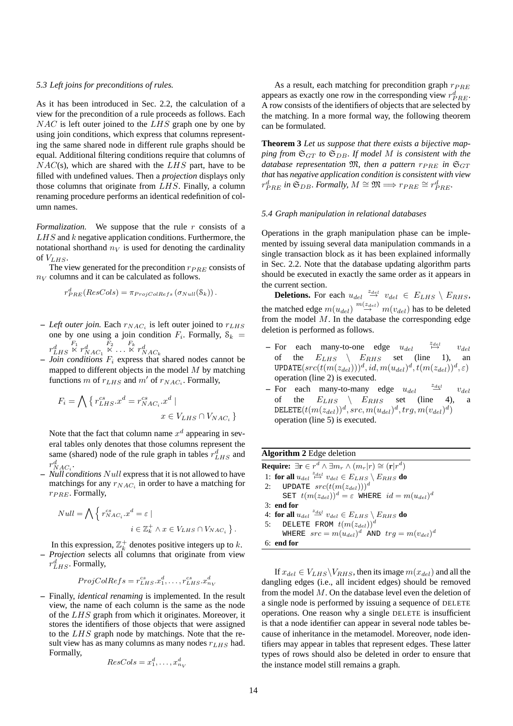# *5.3 Left joins for preconditions of rules.*

As it has been introduced in Sec. 2.2, the calculation of a view for the precondition of a rule proceeds as follows. Each  $NAC$  is left outer joined to the  $LHS$  graph one by one by using join conditions, which express that columns representing the same shared node in different rule graphs should be equal. Additional filtering conditions require that columns of  $NAC(s)$ , which are shared with the LHS part, have to be filled with undefined values. Then a *projection* displays only those columns that originate from LHS. Finally, a column renaming procedure performs an identical redefinition of column names.

*Formalization.* We suppose that the rule r consists of a  $LHS$  and  $k$  negative application conditions. Furthermore, the notational shorthand  $n_V$  is used for denoting the cardinality of  $V_{LHS}$ .

The view generated for the precondition  $r_{PRE}$  consists of  $n_V$  columns and it can be calculated as follows.

$$
r_{PRE}^d(ResCols) = \pi_{ProjColRefs}(\sigma_{Null}(\mathcal{S}_k)).
$$

- $-$  *Left outer join.* Each  $r_{NAC_i}$  is left outer joined to  $r_{LHS}$ one by one using a join condition  $F_i$ . Formally,  $S_k =$  $r^d_{LHS}$  $\stackrel{F_1}{\ltimes} r^d_{NAC_1}$  $r_{LHS}^d \times r_{NAC_1}^d \times \cdots \times r_{NAC_k}^t$ <br> *– Join conditions*  $F_i$  express that shared nodes cannot be
- mapped to different objects in the model  $M$  by matching functions m of  $r_{LHS}$  and m' of  $r_{NAC_i}$ . Formally,

$$
F_i = \bigwedge \left\{ r_{LHS}^{cs} . x^d = r_{NAC_i}^{cs} . x^d \mid \right. \\
 x \in V_{LHS} \cap V_{NAC_i} \right\}
$$

Note that the fact that column name  $x^d$  appearing in several tables only denotes that those columns represent the same (shared) node of the rule graph in tables  $r_{LHS}^d$  and  $r^d_{NAC_i}$ .

**–** *Null conditions* Null express that it is not allowed to have matchings for any  $r_{NAC_i}$  in order to have a matching for  $r_{PRE}$ . Formally,

$$
Null = \bigwedge \{ r_{NAC_i}^{cs} . x^d = \varepsilon \mid
$$
  

$$
i \in \mathbb{Z}_k^+ \land x \in V_{LHS} \cap V_{NAC_i} \}.
$$

In this expression,  $\mathbb{Z}_k^+$  denotes positive integers up to k. **–** *Projection* selects all columns that originate from view

 $r_{LHS}^d$ . Formally,

$$
ProjColRefs = r_{LHS}^{cs} \cdot x_1^d, \dots, r_{LHS}^{cs} \cdot x_{n_V}^d
$$

**–** Finally, *identical renaming* is implemented. In the result view, the name of each column is the same as the node of the LHS graph from which it originates. Moreover, it stores the identifiers of those objects that were assigned to the  $LHS$  graph node by matchings. Note that the result view has as many columns as many nodes  $r_{LHS}$  had. Formally,

$$
ResCols = x_1^d, \dots, x_{n_V}^d
$$

As a result, each matching for precondition graph  $r_{PRE}$ appears as exactly one row in the corresponding view  $r_{PRE}^d$ . A row consists of the identifiers of objects that are selected by the matching. In a more formal way, the following theorem can be formulated.

**Theorem 3** *Let us suppose that there exists a bijective mapping from*  $\mathfrak{S}_{GT}$  *to*  $\mathfrak{S}_{DB}$ *. If model M is consistent with the database representation*  $\mathfrak{M}$ *, then a pattern*  $r_{PRE}$  *in*  $\mathfrak{S}_{GT}$ *that* has *negative application condition is consistent with view*  $r_{PRE}^d$  in  $\mathfrak{S}_{DB}$ . Formally,  $M \cong \mathfrak{M} \Longrightarrow r_{PRE} \cong r_{PRE}^d$ .

# *5.4 Graph manipulation in relational databases*

Operations in the graph manipulation phase can be implemented by issuing several data manipulation commands in a single transaction block as it has been explained informally in Sec. 2.2. Note that the database updating algorithm parts should be executed in exactly the same order as it appears in the current section.

**Deletions.** For each  $u_{del} \stackrel{z_{del}}{\rightarrow} v_{del} \in E_{LHS} \setminus E_{RHS}$ , the matched edge  $m(u_{del}) \stackrel{m(z_{del})}{\rightarrow} m(v_{del})$  has to be deleted from the model  $M$ . In the database the corresponding edge deletion is performed as follows.

- $-$  For each many-to-one edge  $u_{del}$  $\stackrel{z_{del}}{\mapsto}$  $v_{del}$ of the  $E_{LHS}$   $\setminus$   $E_{RHS}$  set (line 1), an  $\mathtt{UPDATE}(src(t(m(z_{del})))^d, id, m(u_{del})^d, t(m(z_{del}))^d, \varepsilon)$ operation (line 2) is executed.
- $-$  For each many-to-many edge  $u_{del}$  $z_{\text{del}}$  $v_{del}$ of the  $E_{LHS}$   $\setminus$   $E_{RHS}$  set (line 4), a DELETE $(t(m(z_{del}))^d,src, m(u_{del})^d, trg, m(v_{del})^d)$ operation (line 5) is executed.

**Algorithm 2** Edge deletion **Require:**  $\exists \mathbf{r} \in r^d \land \exists m_r \land (m_r|r) \cong (\mathbf{r}|r^d)$ 1: **for all**  $u_{del} \stackrel{z_{del}}{\mapsto} v_{del} \in E_{LHS} \setminus E_{RHS}$  **do** 2: UPDATE  $src(t(m(z_{del})))^d$ SET  $t(m(z_{del}))^d = \varepsilon$  WHERE  $id = m(u_{del})^d$ 3: **end for** 4: **for all**  $u_{del} \stackrel{z_{del}}{\sim} v_{del} \in E_{LHS} \setminus E_{RHS}$  **do** 5: DELETE FROM  $t(m(z_{del}))^d$ WHERE  $src = m(u_{del})^d$  and  $trg = m(v_{del})^d$ 6: **end for**

If  $x_{del} \in V_{LHS} \backslash V_{RHS}$ , then its image  $m(x_{del})$  and all the dangling edges (i.e., all incident edges) should be removed from the model M. On the database level even the deletion of a single node is performed by issuing a sequence of DELETE operations. One reason why a single DELETE is insufficient is that a node identifier can appear in several node tables because of inheritance in the metamodel. Moreover, node identifiers may appear in tables that represent edges. These latter types of rows should also be deleted in order to ensure that the instance model still remains a graph.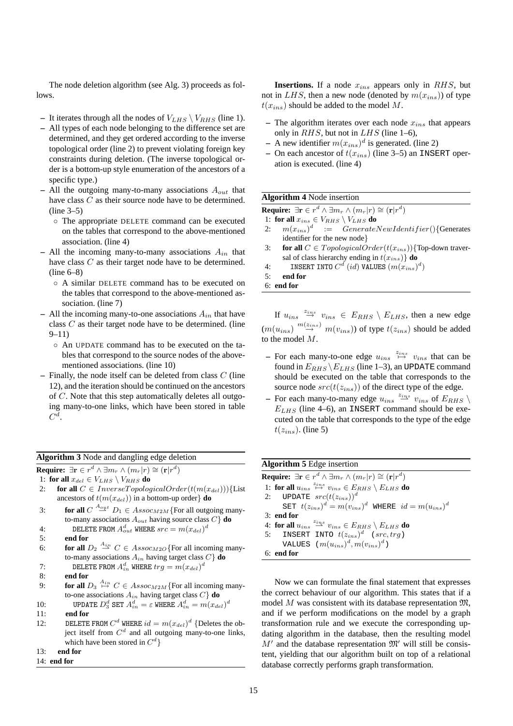The node deletion algorithm (see Alg. 3) proceeds as follows.

- **–** It iterates through all the nodes of  $V_{LHS} \setminus V_{RHS}$  (line 1).
- **–** All types of each node belonging to the difference set are determined, and they get ordered according to the inverse topological order (line 2) to prevent violating foreign key constraints during deletion. (The inverse topological order is a bottom-up style enumeration of the ancestors of a specific type.)
- $-$  All the outgoing many-to-many associations  $A_{out}$  that have class C as their source node have to be determined. (line 3–5)
	- The appropriate DELETE command can be executed on the tables that correspond to the above-mentioned association. (line 4)
- $-$  All the incoming many-to-many associations  $A_{in}$  that have class C as their target node have to be determined. (line 6–8)
	- A similar DELETE command has to be executed on the tables that correspond to the above-mentioned association. (line 7)
- $-$  All the incoming many-to-one associations  $A_{in}$  that have class  $C$  as their target node have to be determined. (line 9–11)
	- An UPDATE command has to be executed on the tables that correspond to the source nodes of the abovementioned associations. (line 10)
- **–** Finally, the node itself can be deleted from class C (line 12), and the iteration should be continued on the ancestors of C. Note that this step automatically deletes all outgoing many-to-one links, which have been stored in table  $C^d$ .

# **Algorithm 3** Node and dangling edge deletion

**Require:**  $\exists \mathbf{r} \in r^d \land \exists m_r \land (m_r|r) \cong (\mathbf{r}|r^d)$ 

1: **for all**  $x_{del} \in V_{LHS} \setminus V_{RHS}$  **do** 

- 2: **for all**  $C \in InverseTopologicalOrder(t(m(x_{del})))$ {List ancestors of  $t(m(x_{del}))$  in a bottom-up order} **do**
- 3: **for all**  $C \stackrel{A_{out}}{\longrightarrow} D_1 \in Assoc_{M2M}$  {For all outgoing manyto-many associations  $A_{out}$  having source class  $C$  **do**

```
4: DELETE FROM A^d_{out} where src = m(x_{del})^d
```
- 5: **end for**
- 6: **for all**  $D_2 \stackrel{A_{in}}{\rightharpoonup} C \in Assoc_{M2O}$  {For all incoming manyto-many associations  $A_{in}$  having target class  $C$  **do** 7: DELETE FROM  $A_{in}^d$  where  $trg = m(x_{del})^d$
- 8: **end for**

```
9: for all D_3 \stackrel{A_{in}}{\mapsto} C \in Assoc_{M2M} {For all incoming many-
         to-one associations A_{in} having target class C } do
```
10: **UPDATE**  $D_3^d$  **SET**  $A_{in}^d = \varepsilon$  **WHERE**  $A_{in}^d = m(x_{del})^d$ 

11: **end for**

12: DELETE FROM  $C^d$  WHERE  $id = m(x_{del})^d$  {Deletes the object itself from  $C<sup>d</sup>$  and all outgoing many-to-one links, which have been stored in  $C^d$ }

13: **end for** 14: **end for**

**Insertions.** If a node  $x_{ins}$  appears only in RHS, but not in LHS, then a new node (denoted by  $m(x_{ins})$ ) of type  $t(x_{ins})$  should be added to the model M.

- $-$  The algorithm iterates over each node  $x_{ins}$  that appears only in  $RHS$ , but not in  $LHS$  (line 1–6),
- $-$  A new identifier  $m(x_{ins})^d$  is generated. (line 2)
- **–** On each ancestor of  $t(x_{ins})$  (line 3–5) an INSERT operation is executed. (line 4)

# **Algorithm 4** Node insertion

**Require:**  $\exists \mathbf{r} \in r^d \land \exists m_r \land (m_r|r) \cong (\mathbf{r}|r^d)$ 

1: **for all**  $x_{ins} \in V_{RHS} \setminus V_{LHS}$  **do** 

- 2:  $m(x_{ins})^d$  := GenerateNewIdentifier(){Generates identifier for the new node}
- 3: **for all**  $C \in TopologicalOrder(t(x_{ins}))$  {Top-down traversal of class hierarchy ending in  $t(x_{ins})$  **do**
- 4: INSERT INTO  $C^d$  (id) VALUES  $(m(x_{ins})^d)$
- 5: **end for**
- 6: **end for**

If  $u_{ins} \stackrel{z_{ins}}{\rightarrow} v_{ins} \in E_{RHS} \setminus E_{LHS}$ , then a new edge  $(m(u_{ins}) \stackrel{m(z_{ins})}{\rightarrow} m(v_{ins}))$  of type  $t(z_{ins})$  should be added to the model M.

- $-$  For each many-to-one edge  $u_{ins} \stackrel{z_{ins}}{\mapsto} v_{ins}$  that can be found in  $E_{RHS} \backslash E_{LHS}$  (line 1–3), an UPDATE command should be executed on the table that corresponds to the source node  $src(t(z_{ins}))$  of the direct type of the edge.
- **–** For each many-to-many edge  $u_{ins} \stackrel{z_{ins}}{\longrightarrow} v_{ins}$  of  $E_{RHS} \setminus$  $E_{LHS}$  (line 4–6), an INSERT command should be executed on the table that corresponds to the type of the edge  $t(z_{ins})$ . (line 5)

| <b>Algorithm 5</b> Edge insertion                                                             |  |  |  |  |  |  |
|-----------------------------------------------------------------------------------------------|--|--|--|--|--|--|
| <b>Require:</b> $\exists \mathbf{r} \in r^d \land \exists m_r \land (m_r r) \cong (r r^d)$    |  |  |  |  |  |  |
| 1: for all $u_{ins} \stackrel{z_{ins}}{\mapsto} v_{ins} \in E_{RHS} \setminus E_{LHS}$ do     |  |  |  |  |  |  |
| 2: UPDATE $src(t(z_{ins}))^d$                                                                 |  |  |  |  |  |  |
| SET $t(z_{ins})^d = m(v_{ins})^d$ where $id = m(u_{ins})^d$                                   |  |  |  |  |  |  |
| $3:$ end for                                                                                  |  |  |  |  |  |  |
| 4: for all $u_{ins} \stackrel{z_{ins}}{\rightarrow} v_{ins} \in E_{RHS} \setminus E_{LHS}$ do |  |  |  |  |  |  |
| 5: INSERT INTO $t(z_{ins})^d$ (src, trq)                                                      |  |  |  |  |  |  |
| VALUES $(m(u_{ins})^d, m(v_{ins})^d)$                                                         |  |  |  |  |  |  |
| $6:$ end for                                                                                  |  |  |  |  |  |  |
|                                                                                               |  |  |  |  |  |  |

Now we can formulate the final statement that expresses the correct behaviour of our algorithm. This states that if a model M was consistent with its database representation  $\mathfrak{M}$ , and if we perform modifications on the model by a graph transformation rule and we execute the corresponding updating algorithm in the database, then the resulting model  $M'$  and the database representation  $\mathfrak{M}'$  will still be consistent, yielding that our algorithm built on top of a relational database correctly performs graph transformation.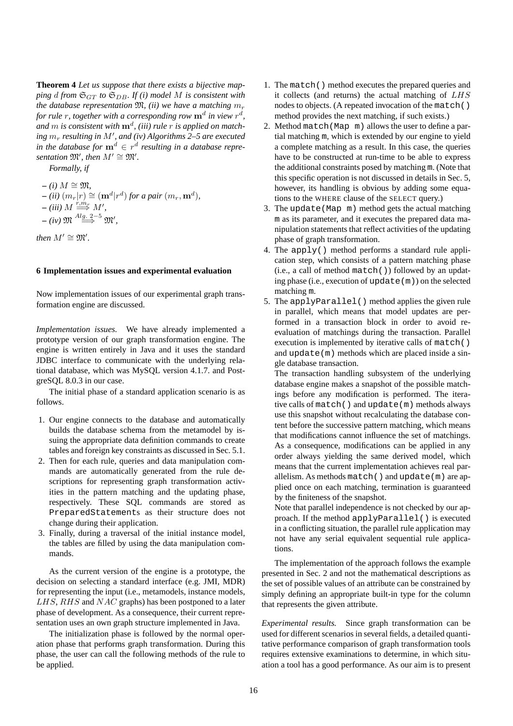**Theorem 4** *Let us suppose that there exists a bijective mapping* d from  $\mathfrak{S}_{GT}$  *to*  $\mathfrak{S}_{DB}$ *. If (i) model M is consistent with the database representation*  $\mathfrak{M}$ *, (ii) we have a matching*  $m_r$ for rule  $r$ , together with a corresponding row  $\mathbf{m}^d$  in view  $r^d$ , and  $m$  is consistent with  $\mathbf{m}^d$ , (iii) rule  $r$  is applied on match- $\log m_r$  *resulting in*  $M'$ *, and (iv) Algorithms 2–5 are executed* in the database for  $\mathbf{m}^d \in r^d$  resulting in a database repre*sentation*  $\mathfrak{M}'$ , then  $M' \cong \mathfrak{M}'$ .

*Formally, if*

$$
-(i) M \cong \mathfrak{M},
$$
  
\n
$$
-(ii) (m_r|r) \cong (\mathbf{m}^d|r^d) \text{ for a pair } (m_r, \mathbf{m}^d),
$$
  
\n
$$
-(iii) M \stackrel{r, m_r}{\Longrightarrow} M',
$$
  
\n
$$
-(iv) \mathfrak{M} \stackrel{Alg. 2-5}{\Longrightarrow} \mathfrak{M}',
$$

*then*  $M' \cong \mathfrak{M}'$ .

# **6 Implementation issues and experimental evaluation**

Now implementation issues of our experimental graph transformation engine are discussed.

*Implementation issues.* We have already implemented a prototype version of our graph transformation engine. The engine is written entirely in Java and it uses the standard JDBC interface to communicate with the underlying relational database, which was MySQL version 4.1.7. and PostgreSQL 8.0.3 in our case.

The initial phase of a standard application scenario is as follows.

- 1. Our engine connects to the database and automatically builds the database schema from the metamodel by issuing the appropriate data definition commands to create tables and foreign key constraints as discussed in Sec. 5.1.
- 2. Then for each rule, queries and data manipulation commands are automatically generated from the rule descriptions for representing graph transformation activities in the pattern matching and the updating phase, respectively. These SQL commands are stored as PreparedStatements as their structure does not change during their application.
- 3. Finally, during a traversal of the initial instance model, the tables are filled by using the data manipulation commands.

As the current version of the engine is a prototype, the decision on selecting a standard interface (e.g. JMI, MDR) for representing the input (i.e., metamodels, instance models,  $LHS$ ,  $RHS$  and  $NAC$  graphs) has been postponed to a later phase of development. As a consequence, their current representation uses an own graph structure implemented in Java.

The initialization phase is followed by the normal operation phase that performs graph transformation. During this phase, the user can call the following methods of the rule to be applied.

- 1. The match() method executes the prepared queries and it collects (and returns) the actual matching of LHS nodes to objects. (A repeated invocation of the match() method provides the next matching, if such exists.)
- 2. Method match(Map m) allows the user to define a partial matching m, which is extended by our engine to yield a complete matching as a result. In this case, the queries have to be constructed at run-time to be able to express the additional constraints posed by matching m. (Note that this specific operation is not discussed in details in Sec. 5, however, its handling is obvious by adding some equations to the WHERE clause of the SELECT query.)
- 3. The update(Map m) method gets the actual matching m as its parameter, and it executes the prepared data manipulation statements that reflect activities of the updating phase of graph transformation.
- 4. The apply() method performs a standard rule application step, which consists of a pattern matching phase (i.e., a call of method match()) followed by an updating phase (i.e., execution of update(m)) on the selected matching m.
- 5. The applyParallel() method applies the given rule in parallel, which means that model updates are performed in a transaction block in order to avoid reevaluation of matchings during the transaction. Parallel execution is implemented by iterative calls of match() and update $(m)$  methods which are placed inside a single database transaction.

The transaction handling subsystem of the underlying database engine makes a snapshot of the possible matchings before any modification is performed. The iterative calls of match() and update(m) methods always use this snapshot without recalculating the database content before the successive pattern matching, which means that modifications cannot influence the set of matchings. As a consequence, modifications can be applied in any order always yielding the same derived model, which means that the current implementation achieves real parallelism. As methods match() and update(m) are applied once on each matching, termination is guaranteed by the finiteness of the snapshot.

Note that parallel independence is not checked by our approach. If the method applyParallel() is executed in a conflicting situation, the parallel rule application may not have any serial equivalent sequential rule applications.

The implementation of the approach follows the example presented in Sec. 2 and not the mathematical descriptions as the set of possible values of an attribute can be constrained by simply defining an appropriate built-in type for the column that represents the given attribute.

*Experimental results.* Since graph transformation can be used for different scenarios in several fields, a detailed quantitative performance comparison of graph transformation tools requires extensive examinations to determine, in which situation a tool has a good performance. As our aim is to present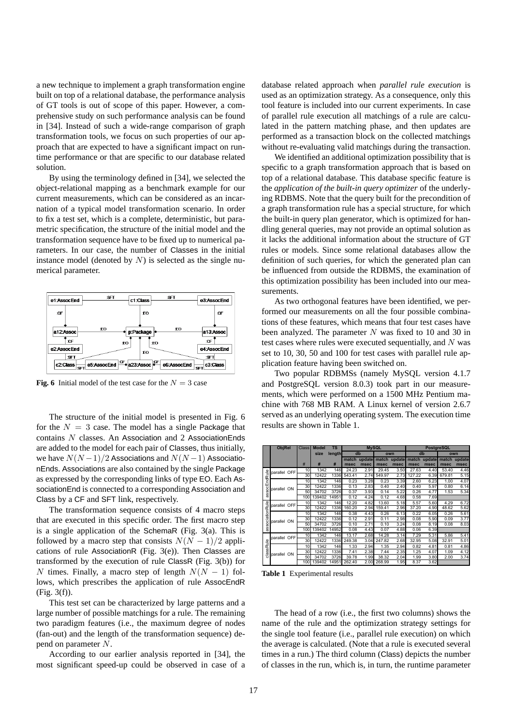a new technique to implement a graph transformation engine built on top of a relational database, the performance analysis of GT tools is out of scope of this paper. However, a comprehensive study on such performance analysis can be found in [34]. Instead of such a wide-range comparison of graph transformation tools, we focus on such properties of our approach that are expected to have a significant impact on runtime performance or that are specific to our database related solution.

By using the terminology defined in [34], we selected the object-relational mapping as a benchmark example for our current measurements, which can be considered as an incarnation of a typical model transformation scenario. In order to fix a test set, which is a complete, deterministic, but parametric specification, the structure of the initial model and the transformation sequence have to be fixed up to numerical parameters. In our case, the number of Classes in the initial instance model (denoted by  $N$ ) is selected as the single numerical parameter.



**Fig. 6** Initial model of the test case for the  $N = 3$  case

The structure of the initial model is presented in Fig. 6 for the  $N = 3$  case. The model has a single Package that contains N classes. An Association and 2 AssociationEnds are added to the model for each pair of Classes, thus initially, we have  $N(N-1)/2$  Associations and  $N(N-1)$  AssociationEnds. Associations are also contained by the single Package as expressed by the corresponding links of type EO. Each AssociationEnd is connected to a corresponding Association and Class by a CF and SFT link, respectively.

The transformation sequence consists of 4 macro steps that are executed in this specific order. The first macro step is a single application of the SchemaR (Fig. 3(a). This is followed by a macro step that consists  $N(N-1)/2$  applications of rule AssociationR (Fig. 3(e)). Then Classes are transformed by the execution of rule ClassR (Fig. 3(b)) for N times. Finally, a macro step of length  $N(N - 1)$  follows, which prescribes the application of rule AssocEndR (Fig. 3(f)).

This test set can be characterized by large patterns and a large number of possible matchings for a rule. The remaining two paradigm features (i.e., the maximum degree of nodes (fan-out) and the length of the transformation sequence) depend on parameter N.

According to our earlier analysis reported in [34], the most significant speed-up could be observed in case of a database related approach when *parallel rule execution* is used as an optimization strategy. As a consequence, only this tool feature is included into our current experiments. In case of parallel rule execution all matchings of a rule are calculated in the pattern matching phase, and then updates are performed as a transaction block on the collected matchings without re-evaluating valid matchings during the transaction.

We identified an additional optimization possibility that is specific to a graph transformation approach that is based on top of a relational database. This database specific feature is the *application of the built-in query optimizer* of the underlying RDBMS. Note that the query built for the precondition of a graph transformation rule has a special structure, for which the built-in query plan generator, which is optimized for handling general queries, may not provide an optimal solution as it lacks the additional information about the structure of GT rules or models. Since some relational databases allow the definition of such queries, for which the generated plan can be influenced from outside the RDBMS, the examination of this optimization possibility has been included into our measurements.

As two orthogonal features have been identified, we performed our measurements on all the four possible combinations of these features, which means that four test cases have been analyzed. The parameter  $N$  was fixed to 10 and 30 in test cases where rules were executed sequentially, and  $N$  was set to 10, 30, 50 and 100 for test cases with parallel rule application feature having been switched on.

Two popular RDBMSs (namely MySQL version 4.1.7 and PostgreSQL version 8.0.3) took part in our measurements, which were performed on a 1500 MHz Pentium machine with 768 MB RAM. A Linux kernel of version 2.6.7 served as an underlying operating system. The execution time results are shown in Table 1.

|                 | <b>ObjRel</b> | <b>Class</b> | <b>Model</b> | TS     | <b>MySQL</b> |        |        | <b>PostgreSQL</b> |        |              |        |              |
|-----------------|---------------|--------------|--------------|--------|--------------|--------|--------|-------------------|--------|--------------|--------|--------------|
|                 |               |              | size         | length | db           |        | own    |                   | db     |              | own    |              |
|                 |               |              |              |        | match        | update | match  | update            |        | match update |        | match update |
|                 |               | #            | #            | #      | msec         | msec   | msec   | msec              | msec   | msec         | msec   | msec         |
|                 | parallel OFF  | 10           | 1342         | 146    | 24.23        | 2.91   | 29.45  | 3.50              | 27.63  | 4.40         | 53.40  | 4.46         |
|                 |               | 30           | 12422        | 1336   | 543.41       | 2.74   | 549.97 | 2.73              | 127.22 | 6.39         | 679.81 | 5.15         |
| assocEndRule    |               | 10           | 1342         | 146    | 0.23         | 3.28   | 0.23   | 3.39              | 2.60   | 6.23         | 1.00   | 4.07         |
|                 | parallel ON   | 30           | 12422        | 1336   | 0.13         | 2.83   | 0.40   | 2.40              | 0.40   | 5.97         | 0.80   | 6.14         |
|                 |               | 50           | 34702        | 3726   | 0.37         | 3.93   | 0.14   | 5.22              | 0.26   | 4.77         | 1.53   | 5.34         |
|                 |               | 100          | 139402       | 14951  | 0.12         | 4.24   | 0.12   | 4.68              | 0.58   | 7.69         |        |              |
|                 | parallel OFF  | 10           | 1342         | 146    | 12.20        | 4.82   | 13.60  | 5.18              | 5.57   | 5.60         | 4.29   | 6.72         |
|                 |               | 30           | 12422        | 1336   | 160.20       | 2.94   | 159.41 | 2.96              | 37.20  | 4.90         | 48.62  | 5.62         |
| associationRule |               | 10           | 1342         | 146    | 0.38         | 4.43   | 0.26   | 6.13              | 0.22   | 6.05         | 0.26   | 5.61         |
|                 | parallel ON   | 30           | 12422        | 1336   | 0.12         | 2.91   | 0.11   | 2.98              | 0.08   | 5.90         | 0.09   | 3.77         |
|                 |               | 50           | 34702        | 3726   | 0.10         | 2.71   | 0.10   | 3.24              | 0.08   | 8.19         | 0.08   | 8.03         |
|                 |               | 100          | 139402       | 14952  | 0.08         | 4.43   | 0.07   | 4.88              | 0.06   | 6.39         |        |              |
|                 | parallel OFF  | 10           | 1342         | 146    | 13.17        | 2.68   | 14.28  | 3.14              | 7.29   | 5.31         | 5.86   | 5.41         |
|                 |               | 30           | 12422        | 1336   | 249.38       | 3.04   | 247.82 | 2.68              | 32.95  | 5.08         | 32.91  | 5.01         |
| classRule       | parallel ON   | 10           | 1342         | 146    | 1.33         | 2.94   | 1.35   | 2.94              | 0.82   | 4.81         | 0.81   | 4.86         |
|                 |               | 30           | 12422        | 1336   | 7.41         | 2.38   | 7.44   | 2.35              | 1.25   | 4.07         | 1.09   | 4.12         |
|                 |               | 50           | 34702        | 3726   | 39.78        | 1.99   | 38.32  | 2.04              | 1.99   | 3.80         | 2.00   | 3.74         |
|                 |               |              | 100 139402   |        | 14951 262.40 | 2.00   | 268.99 | 1.95              | 8.37   | 3.62         |        |              |

**Table 1** Experimental results

The head of a row (i.e., the first two columns) shows the name of the rule and the optimization strategy settings for the single tool feature (i.e., parallel rule execution) on which the average is calculated. (Note that a rule is executed several times in a run.) The third column (Class) depicts the number of classes in the run, which is, in turn, the runtime parameter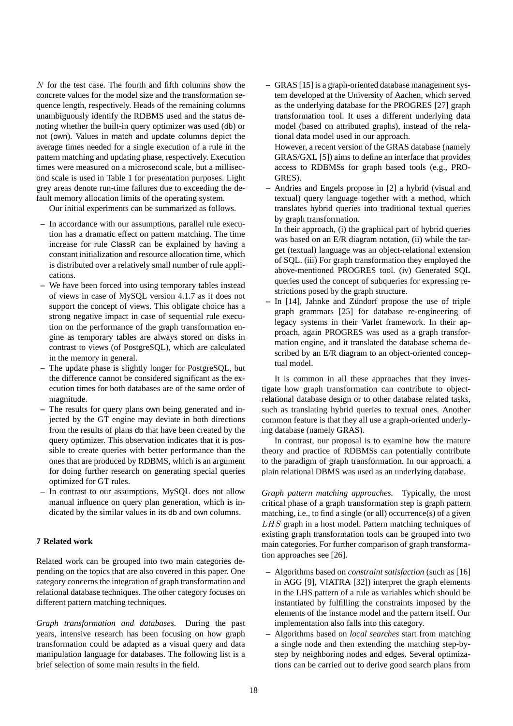N for the test case. The fourth and fifth columns show the concrete values for the model size and the transformation sequence length, respectively. Heads of the remaining columns unambiguously identify the RDBMS used and the status denoting whether the built-in query optimizer was used (db) or not (own). Values in match and update columns depict the average times needed for a single execution of a rule in the pattern matching and updating phase, respectively. Execution times were measured on a microsecond scale, but a millisecond scale is used in Table 1 for presentation purposes. Light grey areas denote run-time failures due to exceeding the default memory allocation limits of the operating system.

Our initial experiments can be summarized as follows.

- **–** In accordance with our assumptions, parallel rule execution has a dramatic effect on pattern matching. The time increase for rule ClassR can be explained by having a constant initialization and resource allocation time, which is distributed over a relatively small number of rule applications.
- **–** We have been forced into using temporary tables instead of views in case of MySQL version 4.1.7 as it does not support the concept of views. This obligate choice has a strong negative impact in case of sequential rule execution on the performance of the graph transformation engine as temporary tables are always stored on disks in contrast to views (of PostgreSQL), which are calculated in the memory in general.
- **–** The update phase is slightly longer for PostgreSQL, but the difference cannot be considered significant as the execution times for both databases are of the same order of magnitude.
- **–** The results for query plans own being generated and injected by the GT engine may deviate in both directions from the results of plans db that have been created by the query optimizer. This observation indicates that it is possible to create queries with better performance than the ones that are produced by RDBMS, which is an argument for doing further research on generating special queries optimized for GT rules.
- **–** In contrast to our assumptions, MySQL does not allow manual influence on query plan generation, which is indicated by the similar values in its db and own columns.

# **7 Related work**

Related work can be grouped into two main categories depending on the topics that are also covered in this paper. One category concerns the integration of graph transformation and relational database techniques. The other category focuses on different pattern matching techniques.

*Graph transformation and databases.* During the past years, intensive research has been focusing on how graph transformation could be adapted as a visual query and data manipulation language for databases. The following list is a brief selection of some main results in the field.

**–** GRAS [15] is a graph-oriented database management system developed at the University of Aachen, which served as the underlying database for the PROGRES [27] graph transformation tool. It uses a different underlying data model (based on attributed graphs), instead of the relational data model used in our approach.

However, a recent version of the GRAS database (namely GRAS/GXL [5]) aims to define an interface that provides access to RDBMSs for graph based tools (e.g., PRO-GRES).

**–** Andries and Engels propose in [2] a hybrid (visual and textual) query language together with a method, which translates hybrid queries into traditional textual queries by graph transformation.

In their approach, (i) the graphical part of hybrid queries was based on an E/R diagram notation, (ii) while the target (textual) language was an object-relational extension of SQL. (iii) For graph transformation they employed the above-mentioned PROGRES tool. (iv) Generated SQL queries used the concept of subqueries for expressing restrictions posed by the graph structure.

In [14], Jahnke and Zündorf propose the use of triple graph grammars [25] for database re-engineering of legacy systems in their Varlet framework. In their approach, again PROGRES was used as a graph transformation engine, and it translated the database schema described by an E/R diagram to an object-oriented conceptual model.

It is common in all these approaches that they investigate how graph transformation can contribute to objectrelational database design or to other database related tasks, such as translating hybrid queries to textual ones. Another common feature is that they all use a graph-oriented underlying database (namely GRAS).

In contrast, our proposal is to examine how the mature theory and practice of RDBMSs can potentially contribute to the paradigm of graph transformation. In our approach, a plain relational DBMS was used as an underlying database.

*Graph pattern matching approaches.* Typically, the most critical phase of a graph transformation step is graph pattern matching, i.e., to find a single (or all) occurrence(s) of a given LHS graph in a host model. Pattern matching techniques of existing graph transformation tools can be grouped into two main categories. For further comparison of graph transformation approaches see [26].

- **–** Algorithms based on *constraint satisfaction* (such as [16] in AGG [9], VIATRA [32]) interpret the graph elements in the LHS pattern of a rule as variables which should be instantiated by fulfilling the constraints imposed by the elements of the instance model and the pattern itself. Our implementation also falls into this category.
- **–** Algorithms based on *local searches* start from matching a single node and then extending the matching step-bystep by neighboring nodes and edges. Several optimizations can be carried out to derive good search plans from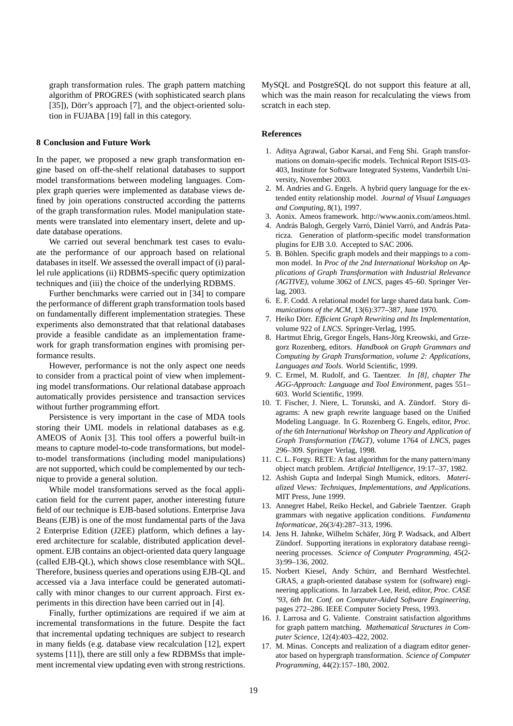graph transformation rules. The graph pattern matching algorithm of PROGRES (with sophisticated search plans [35]), Dörr's approach [7], and the object-oriented solution in FUJABA [19] fall in this category.

## **8 Conclusion and Future Work**

In the paper, we proposed a new graph transformation engine based on off-the-shelf relational databases to support model transformations between modeling languages. Complex graph queries were implemented as database views defined by join operations constructed according the patterns of the graph transformation rules. Model manipulation statements were translated into elementary insert, delete and update database operations.

We carried out several benchmark test cases to evaluate the performance of our approach based on relational databases in itself. We assessed the overall impact of (i) parallel rule applications (ii) RDBMS-specific query optimization techniques and (iii) the choice of the underlying RDBMS.

Further benchmarks were carried out in [34] to compare the performance of different graph transformation tools based on fundamentally different implementation strategies. These experiments also demonstrated that that relational databases provide a feasible candidate as an implementation framework for graph transformation engines with promising performance results.

However, performance is not the only aspect one needs to consider from a practical point of view when implementing model transformations. Our relational database approach automatically provides persistence and transaction services without further programming effort.

Persistence is very important in the case of MDA tools storing their UML models in relational databases as e.g. AMEOS of Aonix [3]. This tool offers a powerful built-in means to capture model-to-code transformations, but modelto-model transformations (including model manipulations) are not supported, which could be complemented by our technique to provide a general solution.

While model transformations served as the focal application field for the current paper, another interesting future field of our technique is EJB-based solutions. Enterprise Java Beans (EJB) is one of the most fundamental parts of the Java 2 Enterprise Edition (J2EE) platform, which defines a layered architecture for scalable, distributed application development. EJB contains an object-oriented data query language (called EJB-QL), which shows close resemblance with SQL. Therefore, business queries and operations using EJB-QL and accessed via a Java interface could be generated automatically with minor changes to our current approach. First experiments in this direction have been carried out in [4].

Finally, further optimizations are required if we aim at incremental transformations in the future. Despite the fact that incremental updating techniques are subject to research in many fields (e.g. database view recalculation [12], expert systems [11]), there are still only a few RDBMSs that implement incremental view updating even with strong restrictions. MySQL and PostgreSQL do not support this feature at all, which was the main reason for recalculating the views from scratch in each step.

# **References**

- 1. Aditya Agrawal, Gabor Karsai, and Feng Shi. Graph transformations on domain-specific models. Technical Report ISIS-03- 403, Institute for Software Integrated Systems, Vanderbilt University, November 2003.
- 2. M. Andries and G. Engels. A hybrid query language for the extended entity relationship model. *Journal of Visual Languages and Computing*, 8(1), 1997.
- 3. Aonix. Ameos framework. http://www.aonix.com/ameos.html.
- 4. András Balogh, Gergely Varró, Dániel Varró, and András Pataricza. Generation of platform-specific model transformation plugins for EJB 3.0. Accepted to SAC 2006.
- 5. B. Böhlen. Specific graph models and their mappings to a common model. In *Proc of the 2nd International Workshop on Applications of Graph Transformation with Industrial Relevance (AGTIVE)*, volume 3062 of *LNCS*, pages 45–60. Springer Verlag, 2003.
- 6. E. F. Codd. A relational model for large shared data bank. *Communications of the ACM*, 13(6):377–387, June 1970.
- 7. Heiko Dörr. *Efficient Graph Rewriting and Its Implementation*, volume 922 of *LNCS*. Springer-Verlag, 1995.
- 8. Hartmut Ehrig, Gregor Engels, Hans-Jörg Kreowski, and Grzegorz Rozenberg, editors. *Handbook on Graph Grammars and Computing by Graph Transformation, volume 2: Applications, Languages and Tools*. World Scientific, 1999.
- 9. C. Ermel, M. Rudolf, and G. Taentzer. *In [8], chapter The AGG-Approach: Language and Tool Environment*, pages 551– 603. World Scientific, 1999.
- 10. T. Fischer, J. Niere, L. Torunski, and A. Zündorf. Story diagrams: A new graph rewrite language based on the Unified Modeling Language. In G. Rozenberg G. Engels, editor, *Proc. of the 6th International Workshop on Theory and Application of Graph Transformation (TAGT)*, volume 1764 of *LNCS*, pages 296–309. Springer Verlag, 1998.
- 11. C. L. Forgy. RETE: A fast algorithm for the many pattern/many object match problem. *Artificial Intelligence*, 19:17–37, 1982.
- 12. Ashish Gupta and Inderpal Singh Mumick, editors. *Materialized Views: Techniques, Implementations, and Applications*. MIT Press, June 1999.
- 13. Annegret Habel, Reiko Heckel, and Gabriele Taentzer. Graph grammars with negative application conditions. *Fundamenta Informaticae*, 26(3/4):287–313, 1996.
- 14. Jens H. Jahnke, Wilhelm Schäfer, Jörg P. Wadsack, and Albert Zündorf. Supporting iterations in exploratory database reengineering processes. *Science of Computer Programming*, 45(2- 3):99–136, 2002.
- 15. Norbert Kiesel, Andy Schürr, and Bernhard Westfechtel. GRAS, a graph-oriented database system for (software) engineering applications. In Jarzabek Lee, Reid, editor, *Proc. CASE '93, 6th Int. Conf. on Computer-Aided Software Engineering*, pages 272–286. IEEE Computer Society Press, 1993.
- 16. J. Larrosa and G. Valiente. Constraint satisfaction algorithms for graph pattern matching. *Mathematical Structures in Computer Science*, 12(4):403–422, 2002.
- 17. M. Minas. Concepts and realization of a diagram editor generator based on hypergraph transformation. *Science of Computer Programming*, 44(2):157–180, 2002.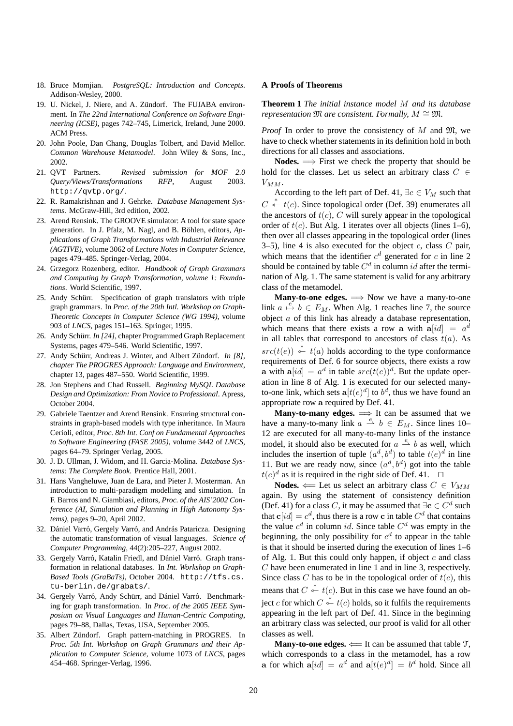- 18. Bruce Momjian. *PostgreSQL: Introduction and Concepts*. Addison-Wesley, 2000.
- 19. U. Nickel, J. Niere, and A. Zündorf. The FUJABA environment. In *The 22nd International Conference on Software Engineering (ICSE)*, pages 742–745, Limerick, Ireland, June 2000. ACM Press.
- 20. John Poole, Dan Chang, Douglas Tolbert, and David Mellor. *Common Warehouse Metamodel*. John Wiley & Sons, Inc., 2002.
- 21. QVT Partners. *Revised submission for MOF 2.0 Query/Views/Transformations RFP*, August 2003. http://qvtp.org/.
- 22. R. Ramakrishnan and J. Gehrke. *Database Management Systems*. McGraw-Hill, 3rd edition, 2002.
- 23. Arend Rensink. The GROOVE simulator: A tool for state space generation. In J. Pfalz, M. Nagl, and B. Böhlen, editors, Ap*plications of Graph Transformations with Industrial Relevance (AGTIVE)*, volume 3062 of *Lecture Notes in Computer Science*, pages 479–485. Springer-Verlag, 2004.
- 24. Grzegorz Rozenberg, editor. *Handbook of Graph Grammars and Computing by Graph Transformation, volume 1: Foundations*. World Scientific, 1997.
- 25. Andy Schürr. Specification of graph translators with triple graph grammars. In *Proc. of the 20th Intl. Workshop on Graph-Theoretic Concepts in Computer Science (WG 1994)*, volume 903 of *LNCS*, pages 151–163. Springer, 1995.
- 26. Andy Schürr. *In [24]*, chapter Programmed Graph Replacement Systems, pages 479–546. World Scientific, 1997.
- 27. Andy Schürr, Andreas J. Winter, and Albert Zündorf. *In [8]*, *chapter The PROGRES Approach: Language and Environment*, chapter 13, pages 487–550. World Scientific, 1999.
- 28. Jon Stephens and Chad Russell. *Beginning MySQL Database Design and Optimization: From Novice to Professional*. Apress, October 2004.
- 29. Gabriele Taentzer and Arend Rensink. Ensuring structural constraints in graph-based models with type inheritance. In Maura Cerioli, editor, *Proc. 8th Int. Conf on Fundamental Approaches to Software Engineering (FASE 2005)*, volume 3442 of *LNCS*, pages 64–79. Springer Verlag, 2005.
- 30. J. D. Ullman, J. Widom, and H. Garcia-Molina. *Database Systems: The Complete Book*. Prentice Hall, 2001.
- 31. Hans Vangheluwe, Juan de Lara, and Pieter J. Mosterman. An introduction to multi-paradigm modelling and simulation. In F. Barros and N. Giambiasi, editors, *Proc. of the AIS'2002 Conference (AI, Simulation and Planning in High Autonomy Systems)*, pages 9–20, April 2002.
- 32. Dániel Varró, Gergely Varró, and András Pataricza. Designing the automatic transformation of visual languages. *Science of Computer Programming*, 44(2):205–227, August 2002.
- 33. Gergely Varró, Katalin Friedl, and Dániel Varró. Graph transformation in relational databases. In *Int. Workshop on Graph-Based Tools (GraBaTs)*, October 2004. http://tfs.cs. tu-berlin.de/grabats/.
- 34. Gergely Varró, Andy Schürr, and Dániel Varró. Benchmarking for graph transformation. In *Proc. of the 2005 IEEE Symposium on Visual Languages and Human-Centric Computing*, pages 79–88, Dallas, Texas, USA, September 2005.
- 35. Albert Zündorf. Graph pattern-matching in PROGRES. In *Proc. 5th Int. Workshop on Graph Grammars and their Application to Computer Science*, volume 1073 of *LNCS*, pages 454–468. Springer-Verlag, 1996.

# **A Proofs of Theorems**

**Theorem 1** *The initial instance model* M *and its database representation*  $\mathfrak{M}$  *are consistent. Formally,*  $M \cong \mathfrak{M}$ *.* 

*Proof* In order to prove the consistency of M and M, we have to check whether statements in its definition hold in both directions for all classes and associations.

**Nodes.**  $\implies$  First we check the property that should be hold for the classes. Let us select an arbitrary class  $C \in$  $V_{MM}$ .

According to the left part of Def. 41,  $\exists c \in V_M$  such that  $C \stackrel{*}{\leftarrow} t(c)$ . Since topological order (Def. 39) enumerates all the ancestors of  $t(c)$ , C will surely appear in the topological order of  $t(c)$ . But Alg. 1 iterates over all objects (lines 1–6), then over all classes appearing in the topological order (lines 3–5), line 4 is also executed for the object  $c$ , class  $C$  pair, which means that the identifier  $c<sup>d</sup>$  generated for c in line 2 should be contained by table  $C<sup>d</sup>$  in column id after the termination of Alg. 1. The same statement is valid for any arbitrary class of the metamodel.

**Many-to-one edges.**  $\implies$  Now we have a many-to-one link  $a \stackrel{e}{\mapsto} b \in E_M$ . When Alg. 1 reaches line 7, the source object a of this link has already a database representation, which means that there exists a row a with  $a[i] = a^d$ in all tables that correspond to ancestors of class  $t(a)$ . As  $src(t(e)) \stackrel{*}{\leftarrow} t(a)$  holds according to the type conformance requirements of Def. 6 for source objects, there exists a row a with  $a[i] = a^d$  in table  $src(t(e))^d$ . But the update operation in line 8 of Alg. 1 is executed for our selected manyto-one link, which sets  $a[t(e)^d]$  to  $b^d$ , thus we have found an appropriate row a required by Def. 41.

**Many-to-many edges.**  $\implies$  It can be assumed that we have a many-to-many link  $a \stackrel{e}{\longrightarrow} b \in E_M$ . Since lines 10– 12 are executed for all many-to-many links of the instance model, it should also be executed for  $a \stackrel{e}{\rightharpoonup} b$  as well, which includes the insertion of tuple  $(a^d, b^d)$  to table  $t(e)^d$  in line 11. But we are ready now, since  $(a^d, b^d)$  got into the table  $t(e)^d$  as it is required in the right side of Def. 41.  $\Box$ 

**Nodes.**  $\leftarrow$  Let us select an arbitrary class  $C \in V_{MM}$ again. By using the statement of consistency definition (Def. 41) for a class C, it may be assumed that  $\exists c \in C^d$  such that  $c[i d] = c<sup>d</sup>$ , thus there is a row c in table  $C<sup>d</sup>$  that contains the value  $c^d$  in column id. Since table  $C^d$  was empty in the beginning, the only possibility for  $c<sup>d</sup>$  to appear in the table is that it should be inserted during the execution of lines 1–6 of Alg. 1. But this could only happen, if object  $c$  and class C have been enumerated in line 1 and in line 3, respectively. Since class C has to be in the topological order of  $t(c)$ , this means that  $C \stackrel{*}{\leftarrow} t(c)$ . But in this case we have found an object c for which  $C \stackrel{*}{\leftarrow} t(c)$  holds, so it fulfils the requirements appearing in the left part of Def. 41. Since in the beginning an arbitrary class was selected, our proof is valid for all other classes as well.

**Many-to-one edges.**  $\Leftarrow$  It can be assumed that table  $\mathcal{T}$ , which corresponds to a class in the metamodel, has a row **a** for which  $a[i] = a^d$  and  $a[t(e)^d] = b^d$  hold. Since all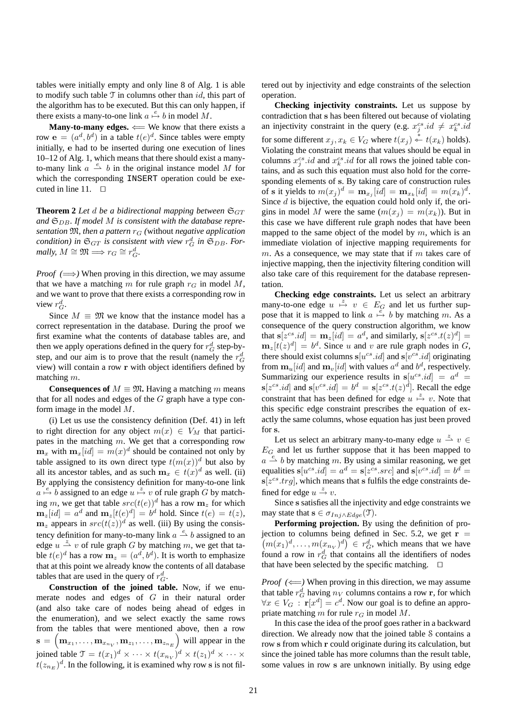tables were initially empty and only line 8 of Alg. 1 is able to modify such table  $T$  in columns other than *id*, this part of the algorithm has to be executed. But this can only happen, if there exists a many-to-one link  $a \stackrel{e}{\mapsto} b$  in model M.

**Many-to-many edges.**  $\Longleftarrow$  We know that there exists a row  $\mathbf{e} = (a^d, b^d)$  in a table  $t(e)^d$ . Since tables were empty initially, e had to be inserted during one execution of lines 10–12 of Alg. 1, which means that there should exist a manyto-many link  $a \stackrel{e}{\rightharpoonup} b$  in the original instance model M for which the corresponding INSERT operation could be executed in line 11.  $\Box$ 

**Theorem 2** *Let d be a bidirectional mapping between*  $\mathfrak{S}_{GT}$ and  $\mathfrak{S}_{DB}$ . If model M is consistent with the database repre*sentation*  $\mathfrak{M}$ *, then a pattern*  $r_G$  (without *negative application condition) in*  $\mathfrak{S}_{GT}$  *is consistent with view*  $r_G^d$  *in*  $\mathfrak{S}_{DB}$ *. For* $mally, M \cong \mathfrak{M} \Longrightarrow r_G \cong r_G^d.$ 

*Proof*  $(\implies)$  When proving in this direction, we may assume that we have a matching m for rule graph  $r<sub>G</sub>$  in model M, and we want to prove that there exists a corresponding row in view  $r_G^d$ .

Since  $M \equiv \mathfrak{M}$  we know that the instance model has a correct representation in the database. During the proof we first examine what the contents of database tables are, and then we apply operations defined in the query for  $r_G^d$  step-bystep, and our aim is to prove that the result (namely the  $r_G^d$ view) will contain a row r with object identifiers defined by matching m.

**Consequences of**  $M \equiv \mathfrak{M}$ . Having a matching m means that for all nodes and edges of the  $G$  graph have a type conform image in the model M.

(i) Let us use the consistency definition (Def. 41) in left to right direction for any object  $m(x) \in V_M$  that participates in the matching  $m$ . We get that a corresponding row  $\mathbf{m}_x$  with  $\mathbf{m}_x[i] = m(x)^d$  should be contained not only by table assigned to its own direct type  $t(m(x))^d$  but also by all its ancestor tables, and as such  $m_x \in t(x)^d$  as well. (ii) By applying the consistency definition for many-to-one link  $a \stackrel{e}{\mapsto} b$  assigned to an edge  $u \stackrel{z}{\mapsto} v$  of rule graph G by matching m, we get that table  $src(t(e))^d$  has a row  $m_z$  for which  $\mathbf{m}_z[id] = a^d$  and  $\mathbf{m}_z[t(e)^d] = b^d$  hold. Since  $t(e) = t(z)$ ,  $m_z$  appears in  $src(t(z))^d$  as well. (iii) By using the consistency definition for many-to-many link  $a \stackrel{e}{\rightarrow} b$  assigned to an edge  $u \stackrel{z}{\sim} v$  of rule graph G by matching m, we get that table  $t(e)^d$  has a row  $\mathbf{m}_z = (a^d, b^d)$ . It is worth to emphasize that at this point we already know the contents of all database tables that are used in the query of  $r_G^d$ .

**Construction of the joined table.** Now, if we enumerate nodes and edges of G in their natural order (and also take care of nodes being ahead of edges in the enumeration), and we select exactly the same rows from the tables that were mentioned above, then a row  $\mathbf{s} = \left( \mathbf{m}_{x_1}, \dots, \mathbf{m}_{x_{n_V}}, \mathbf{m}_{z_1}, \dots, \mathbf{m}_{z_{n_E}} \right)$  will appear in the joined table  $\mathcal{T} = t(x_1)^d \times \cdots \times t(x_{n_V})^d \times t(z_1)^d \times \cdots \times$  $t(z_{n_E})^d$ . In the following, it is examined why row s is not filtered out by injectivity and edge constraints of the selection operation.

**Checking injectivity constraints.** Let us suppose by contradiction that s has been filtered out because of violating an injectivity constraint in the query (e.g.  $x_j^{cs}.id \neq x_k^{cs}.id$ for some different  $x_j, x_k \in V_G$  where  $t(x_j) \stackrel{*}{\leftarrow} t(x_k)$  holds).<br>Violating the constraint means that values should be equal in Violating the constraint means that values should be equal in columns  $x_j^{cs}.id$  and  $x_k^{cs}.id$  for all rows the joined table contains, and as such this equation must also hold for the corresponding elements of s. By taking care of construction rules of s it yields to  $m(x_j)^d = \mathbf{m}_{x_j}[id] = \mathbf{m}_{x_k}[id] = m(x_k)^d$ . Since  $d$  is bijective, the equation could hold only if, the origins in model M were the same  $(m(x_i) = m(x_k))$ . But in this case we have different rule graph nodes that have been mapped to the same object of the model by  $m$ , which is an immediate violation of injective mapping requirements for m. As a consequence, we may state that if m takes care of injective mapping, then the injectivity filtering condition will also take care of this requirement for the database representation.

**Checking edge constraints.** Let us select an arbitrary many-to-one edge  $u \stackrel{z}{\mapsto} v \in E_G$  and let us further suppose that it is mapped to link  $a \stackrel{\widetilde{e}}{\mapsto} b$  by matching m. As a consequence of the query construction algorithm, we know that  $s[z^{cs}.id] = \mathbf{m}_z[id] = a^d$ , and similarly,  $s[z^{cs}.t(z)^d] =$  $\mathbf{m}_z[t(z)^d] = b^d$ . Since u and v are rule graph nodes in G, there should exist columns  $s[u^{cs}.id]$  and  $s[v^{cs}.id]$  originating from  $\mathbf{m}_u[i]$  and  $\mathbf{m}_v[i]$  with values  $a^d$  and  $b^d$ , respectively. Summarizing our experience results in  $s[u^{cs}.id] = a^d$  $s[z^{cs}.id]$  and  $s[v^{cs}.id] = b^d = s[z^{cs}.t(z)^d]$ . Recall the edge constraint that has been defined for edge  $u \stackrel{z}{\mapsto} v$ . Note that this specific edge constraint prescribes the equation of exactly the same columns, whose equation has just been proved for s.

Let us select an arbitrary many-to-many edge  $u \stackrel{z}{\rightharpoonup} v \in$  $E_G$  and let us further suppose that it has been mapped to  $a \stackrel{\overbrace{\smile}}{\rightarrow} b$  by matching m. By using a similar reasoning, we get equalities  $s[u^{cs}.id] = a^d = s[z^{cs}.src]$  and  $s[v^{cs}.id] = b^d =$  $s[z^{cs}.trg]$ , which means that s fulfils the edge constraints defined for edge  $u \stackrel{z}{\rightarrow} v$ .

Since s satisfies all the injectivity and edge constraints we may state that  $\mathbf{s} \in \sigma_{Inj \wedge Edge}(\mathcal{T})$ .

**Performing projection.** By using the definition of projection to columns being defined in Sec. 5.2, we get  $r =$  $(m(x_1)^d, \ldots, m(x_{n_V})^d) \in r_G^d$ , which means that we have found a row in  $r_G^d$  that contains all the identifiers of nodes that have been selected by the specific matching.  $\square$ 

*Proof*  $(\leftarrow)$  When proving in this direction, we may assume that table  $r_G^d$  having  $n_V$  columns contains a row r, for which  $\forall x \in V_G : \mathbf{r}[x^d] = c^d$ . Now our goal is to define an appropriate matching m for rule  $r_G$  in model M.

In this case the idea of the proof goes rather in a backward direction. We already now that the joined table S contains a row s from which r could originate during its calculation, but since the joined table has more columns than the result table, some values in row s are unknown initially. By using edge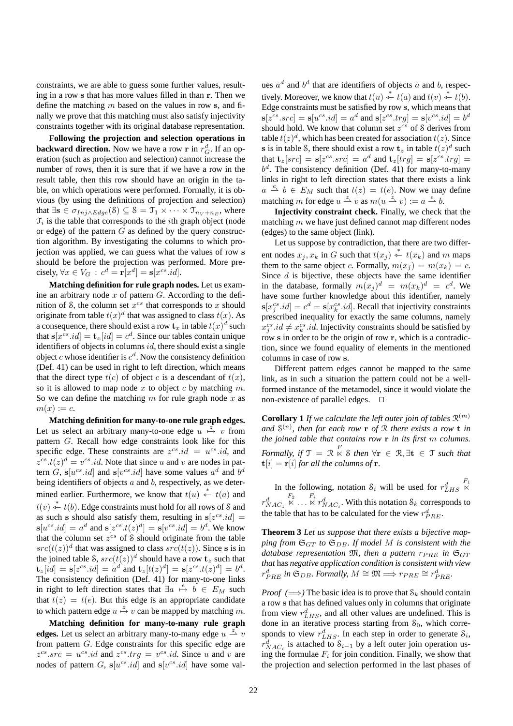constraints, we are able to guess some further values, resulting in a row s that has more values filled in than r. Then we define the matching  $m$  based on the values in row s, and finally we prove that this matching must also satisfy injectivity constraints together with its original database representation.

**Following the projection and selection operations in backward direction.** Now we have a row **r** in  $r_G^d$ . If an operation (such as projection and selection) cannot increase the number of rows, then it is sure that if we have a row in the result table, then this row should have an origin in the table, on which operations were performed. Formally, it is obvious (by using the definitions of projection and selection) that  $\exists s \in \sigma_{Inj \wedge Edge}(\mathcal{S}) \subseteq \mathcal{S} = \mathcal{T}_1 \times \cdots \times \mathcal{T}_{n_V + n_E}$ , where  $\mathcal{T}_i$  is the table that corresponds to the *i*th graph object (node or edge) of the pattern  $G$  as defined by the query construction algorithm. By investigating the columns to which projection was applied, we can guess what the values of row s should be before the projection was performed. More precisely,  $\forall x \in V_G : c^d = \mathbf{r}[x^d] = \mathbf{s}[x^{cs}.id].$ 

**Matching definition for rule graph nodes.** Let us examine an arbitrary node  $x$  of pattern  $G$ . According to the defimition of S, the column set  $x^{cs}$  that corresponds to x should originate from table  $t(x)^d$  that was assigned to class  $t(x)$ . As a consequence, there should exist a row  $\mathbf{t}_x$  in table  $t(x)^d$  such that  $s[x^{cs}.id] = \mathbf{t}_x[id] = c^d$ . Since our tables contain unique identifiers of objects in columns  $id$ , there should exist a single object c whose identifier is  $c^d$ . Now the consistency definition (Def. 41) can be used in right to left direction, which means that the direct type  $t(c)$  of object c is a descendant of  $t(x)$ , so it is allowed to map node x to object c by matching  $m$ . So we can define the matching  $m$  for rule graph node  $x$  as  $m(x) := c$ .

**Matching definition for many-to-one rule graph edges.** Let us select an arbitrary many-to-one edge  $u \stackrel{?}{\mapsto} v$  from pattern G. Recall how edge constraints look like for this specific edge. These constraints are  $z^{cs}.id = u^{cs}.id$ , and  $z^{cs}.t(z)^d = v^{cs}.id$ . Note that since u and v are nodes in pattern G,  $s[u^{cs}.id]$  and  $s[v^{cs}.id]$  have some values  $a^d$  and  $b^d$ being identifiers of objects  $a$  and  $b$ , respectively, as we determined earlier. Furthermore, we know that  $t(u) \stackrel{*}{\leftarrow} t(a)$  and  $t(v) \stackrel{*}{\leftarrow} t(b)$ . Edge constraints must hold for all rows of S and<br>as such s should also satisfy them resulting in s[ $\frac{s}{s}$  id] − as such s should also satisfy them, resulting in  $s[z^{cs}.id] =$  $s[u^{cs}.id] = a^d$  and  $s[z^{cs}.t(z)^d] = s[v^{cs}.id] = b^d$ . We know that the column set  $z^{cs}$  of S should originate from the table  $src(t(z))^d$  that was assigned to class  $src(t(z))$ . Since s is in the joined table S,  $src(t(z))^d$  should have a row  $\mathbf{t}_z$  such that  $\mathbf{t}_z[id] = \mathbf{s}[z^{cs}.id] = a^d$  and  $\mathbf{t}_z[t(z)^d] = \mathbf{s}[z^{cs}.t(z)^d] = b^d$ . The consistency definition (Def. 41) for many-to-one links in right to left direction states that  $\exists a \stackrel{e}{\mapsto} b \in E_M$  such that  $t(z) = t(e)$ . But this edge is an appropriate candidate to which pattern edge  $u \stackrel{z}{\mapsto} v$  can be mapped by matching m.

**Matching definition for many-to-many rule graph edges.** Let us select an arbitrary many-to-many edge  $\overline{u} \stackrel{\leq}{\leq} v$ from pattern G. Edge constraints for this specific edge are  $z^{cs}.src = u^{cs}.id$  and  $z^{cs}.trg = v^{cs}.id$ . Since u and v are nodes of pattern G,  $s[u^{cs}.id]$  and  $s[v^{cs}.id]$  have some values  $a^d$  and  $b^d$  that are identifiers of objects a and b, respectively. Moreover, we know that  $t(u) \stackrel{*}{\leftarrow} t(a)$  and  $t(v) \stackrel{*}{\leftarrow} t(b)$ . Edge constraints must be satisfied by row s, which means that  $s[z^{cs}.src] = s[u^{cs}.id] = a^d$  and  $s[z^{cs}.trg] = s[v^{cs}.id] = b^d$ should hold. We know that column set  $z^{cs}$  of  $\delta$  derives from table  $t(z)^d$ , which has been created for association  $t(z)$ . Since s is in table S, there should exist a row  $t_z$  in table  $t(z)^d$  such that  $\mathbf{t}_z[src] = \mathbf{s}[z^{cs}.src] = a^d$  and  $\mathbf{t}_z[trg] = \mathbf{s}[z^{cs}.trg] =$  $b<sup>d</sup>$ . The consistency definition (Def. 41) for many-to-many links in right to left direction states that there exists a link  $a \stackrel{e}{\longrightarrow} b \in E_M$  such that  $t(z) = t(e)$ . Now we may define matching m for edge  $u \stackrel{z}{\rightharpoonup} v$  as  $m(u \stackrel{z}{\rightharpoonup} v) := a \stackrel{e}{\rightharpoonup} b$ .

**Injectivity constraint check.** Finally, we check that the matching  $m$  we have just defined cannot map different nodes (edges) to the same object (link).

Let us suppose by contradiction, that there are two different nodes  $x_j, x_k$  in G such that  $t(x_j) \stackrel{*}{\leftarrow} t(x_k)$  and m maps<br>than to the same object a Formally  $m(x_i) = m(x_i) = a$ them to the same object c. Formally,  $m(x_i) = m(x_k) = c$ . Since  $d$  is bijective, these objects have the same identifier in the database, formally  $m(x_j)^d = m(x_k)^d = c^d$ . We have some further knowledge about this identifier, namely  $s[x_j^{cs}.id] = c^d = s[x_k^{cs}.id]$ . Recall that injectivity constraints prescribed inequality for exactly the same columns, namely  $x_j^{cs}.id \neq x_k^{cs}.id$ . Injectivity constraints should be satisfied by row s in order to be the origin of row  $r$ , which is a contradiction, since we found equality of elements in the mentioned columns in case of row s.

Different pattern edges cannot be mapped to the same link, as in such a situation the pattern could not be a wellformed instance of the metamodel, since it would violate the non-existence of parallel edges.  $\square$ 

**Corollary 1** If we calculate the left outer join of tables  $\mathcal{R}^{(m)}$ *and* S (n) *, then for each row* r *of* R *there exists a row* t *in the joined table that contains row* r *in its first* m *columns. Formally, if*  $\mathcal{T} = \mathcal{R} \overset{F}{\ltimes} \mathcal{S}$  *then*  $\forall$ **r**  $\in \mathcal{R}, \exists$ **t**  $\in \mathcal{T}$  *such that*  $t[i] = r[i]$  *for all the columns of* **r**.

In the following, notation  $S_i$  will be used for  $r_{LHS}^d$  $F_1$ <sub> $\times$ </sub>  $r^d_{NAC_1}$  $F_2 \n\times \n\times r_{NAC_i}^d$ . With this notation  $S_k$  corresponds to the table that has to be calculated for the view  $r_{PRE}^d$ .

**Theorem 3** *Let us suppose that there exists a bijective mapping from*  $\mathfrak{S}_{GT}$  *to*  $\mathfrak{S}_{DB}$ *. If model M is consistent with the database representation*  $\mathfrak{M}$ *, then a pattern*  $r_{PRE}$  *in*  $\mathfrak{S}_{GT}$ *that* has *negative application condition is consistent with view*  $r_{PRE}^d$  in  $\mathfrak{S}_{DB}$ . Formally,  $M \cong \mathfrak{M} \Longrightarrow r_{PRE} \cong r_{PRE}^d$ .

*Proof* ( $\implies$ ) The basic idea is to prove that  $S_k$  should contain a row s that has defined values only in columns that originate from view  $r_{LHS}^d$ , and all other values are undefined. This is done in an iterative process starting from  $S_0$ , which corresponds to view  $r_{LHS}^d$ . In each step in order to generate  $S_i$ ,  $r_{NAC_i}^d$  is attached to  $S_{i-1}$  by a left outer join operation using the formulae  $F_i$  for join condition. Finally, we show that the projection and selection performed in the last phases of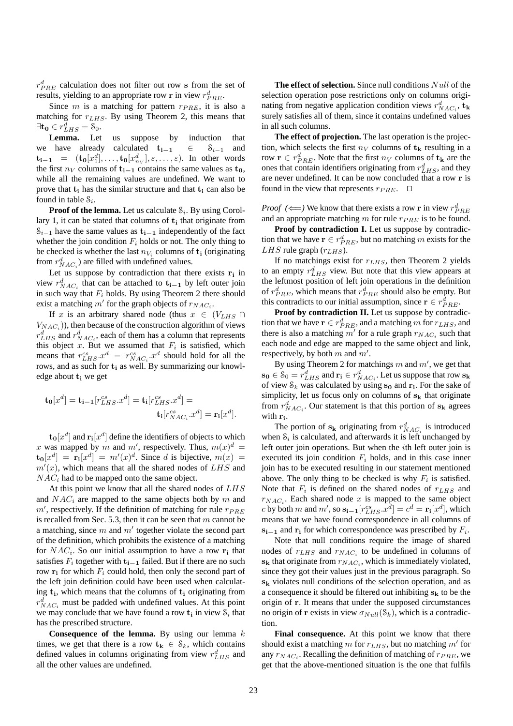$r_{PRE}^d$  calculation does not filter out row s from the set of results, yielding to an appropriate row r in view  $r_{PRE}^d$ .

Since  $m$  is a matching for pattern  $r_{PRE}$ , it is also a matching for  $r_{LHS}$ . By using Theorem 2, this means that  $\exists \mathbf{t_0} \in r_{LHS}^d = \mathcal{S}_0.$ 

**Lemma.** Let us suppose by induction that we have already calculated  $t_{i-1}$  ∈  $S_{i-1}$  and  $\mathbf{t}_{\mathbf{i}-\mathbf{1}} = (\mathbf{t}_{\mathbf{0}}[x_1^d], \dots, \mathbf{t}_{\mathbf{0}}[x_{n_V}^d], \varepsilon, \dots, \varepsilon).$  In other words the first  $n_V$  columns of  $t_{i-1}$  contains the same values as  $t_0$ , while all the remaining values are undefined. We want to prove that  $t_i$  has the similar structure and that  $t_i$  can also be found in table  $S_i$ .

**Proof of the lemma.** Let us calculate  $S_i$ . By using Corollary 1, it can be stated that columns of  $t_i$  that originate from  $S_{i-1}$  have the same values as  $t_{i-1}$  independently of the fact whether the join condition  $F_i$  holds or not. The only thing to be checked is whether the last  $n_{V_i}$  columns of  $t_i$  (originating from  $r_{NAC_i}^d$ ) are filled with undefined values.

Let us suppose by contradiction that there exists  $r_i$  in view  $r_{NAC_i}^d$  that can be attached to  $t_{i-1}$  by left outer join in such way that  $F_i$  holds. By using Theorem 2 there should exist a matching  $m'$  for the graph objects of  $r_{NAC_i}$ .

If x is an arbitrary shared node (thus  $x \in (V_{LHS} \cap$  $V_{NAC_i}$ )), then because of the construction algorithm of views  $r_{LHS}^d$  and  $r_{NAC_i}^d$ , each of them has a column that represents this object x. But we assumed that  $F_i$  is satisfied, which means that  $r_{LHS}^{cs}$   $\cdot x^d$  =  $r_{NAC_i}^{cs}$   $\cdot x^d$  should hold for all the rows, and as such for  $t_i$  as well. By summarizing our knowledge about  $t_i$  we get

$$
\mathbf{t}_{\mathbf{0}}[x^d] = \mathbf{t}_{\mathbf{i}-\mathbf{1}}[r_{LHS}^{cs}.x^d] = \mathbf{t}_{\mathbf{i}}[r_{LHS}^{cs}.x^d] =
$$

$$
\mathbf{t}_{\mathbf{i}}[r_{NAC_i}^{cs}.x^d] = \mathbf{r}_{\mathbf{i}}[x^d].
$$

 $\mathbf{t_0}[x^d]$  and  $\mathbf{r_i}[x^d]$  define the identifiers of objects to which x was mapped by m and m', respectively. Thus,  $m(x)^d =$  $\mathbf{t}_0[x^d] = \mathbf{r}_i[x^d] = m'(x)^d$ . Since d is bijective,  $m(x) =$  $m'(x)$ , which means that all the shared nodes of  $LHS$  and  $NAC_i$  had to be mapped onto the same object.

At this point we know that all the shared nodes of  $LHS$ and  $NAC_i$  are mapped to the same objects both by m and  $m'$ , respectively. If the definition of matching for rule  $r_{PRE}$ is recalled from Sec. 5.3, then it can be seen that  $m$  cannot be a matching, since  $m$  and  $m'$  together violate the second part of the definition, which prohibits the existence of a matching for  $NAC_i$ . So our initial assumption to have a row  $\mathbf{r}_i$  that satisfies  $F_i$  together with  $t_{i-1}$  failed. But if there are no such row  $\mathbf{r}_i$  for which  $F_i$  could hold, then only the second part of the left join definition could have been used when calculating  $t_i$ , which means that the columns of  $t_i$  originating from  $r_{NAC_i}^d$  must be padded with undefined values. At this point we may conclude that we have found a row  $t_i$  in view  $S_i$  that has the prescribed structure.

**Consequence of the lemma.** By using our lemma  $k$ times, we get that there is a row  $\mathbf{t}_{k} \in S_{k}$ , which contains defined values in columns originating from view  $r_{LHS}^d$  and all the other values are undefined.

**The effect of selection.** Since null conditions Null of the selection operation pose restrictions only on columns originating from negative application condition views  $r_{NAC_i}^d$ ,  $\mathbf{t_k}$ surely satisfies all of them, since it contains undefined values in all such columns.

**The effect of projection.** The last operation is the projection, which selects the first  $n_V$  columns of  $t_k$  resulting in a row  $\mathbf{r} \in r_{PRE}^d$ . Note that the first  $n_V$  columns of  $\mathbf{t_k}$  are the ones that contain identifiers originating from  $r_{LHS}^d$ , and they are never undefined. It can be now concluded that a row r is found in the view that represents  $r_{PRE}$ .  $\Box$ 

*Proof* ( $\Longleftarrow$ ) We know that there exists a row r in view  $r_{PRE}^d$ and an appropriate matching  $m$  for rule  $r_{PRE}$  is to be found.

Proof by contradiction I. Let us suppose by contradiction that we have  $\mathbf{r} \in r_{PRE}^d$ , but no matching m exists for the LHS rule graph  $(r_{LHS})$ .

If no matchings exist for  $r_{LHS}$ , then Theorem 2 yields to an empty  $r_{LHS}^d$  view. But note that this view appears at the leftmost position of left join operations in the definition of  $r_{PRE}^d$ , which means that  $r_{PRE}^d$  should also be empty. But this contradicts to our initial assumption, since  $\mathbf{r} \in r_{PRE}^d$ .

Proof by contradiction II. Let us suppose by contradiction that we have  $\mathbf{r} \in r_{PRE}^d$ , and a matching m for  $r_{LHS}$ , and there is also a matching  $m'$  for a rule graph  $r_{NAC_i}$  such that each node and edge are mapped to the same object and link, respectively, by both  $m$  and  $m'$ .

By using Theorem 2 for matchings  $m$  and  $m'$ , we get that  $\mathbf{s_0} \in \mathcal{S}_0 = r_{LHS}^d$  and  $\mathbf{r_i} \in r_{NAC_i}^d$ . Let us suppose that row  $\mathbf{s_k}$ of view  $\mathcal{S}_k$  was calculated by using  $\mathbf{s}_0$  and  $\mathbf{r}_i$ . For the sake of simplicity, let us focus only on columns of  $s_k$  that originate from  $r_{NAC_i}^d$ . Our statement is that this portion of  $s_k$  agrees with  $r_i$ .

The portion of  $s_k$  originating from  $r_{NAC_i}^d$  is introduced when  $S_i$  is calculated, and afterwards it is left unchanged by left outer join operations. But when the ith left outer join is executed its join condition  $F_i$  holds, and in this case inner join has to be executed resulting in our statement mentioned above. The only thing to be checked is why  $F_i$  is satisfied. Note that  $F_i$  is defined on the shared nodes of  $r_{LHS}$  and  $r_{NAC_i}$ . Each shared node x is mapped to the same object c by both m and m', so  $\mathbf{s}_{\mathbf{i}-\mathbf{1}}[r_{LHS}^{cs}.x^d] = c^d = \mathbf{r}_{\mathbf{i}}[x^d]$ , which means that we have found correspondence in all columns of  $s_{i-1}$  and  $r_i$  for which correspondence was prescribed by  $F_i$ .

Note that null conditions require the image of shared nodes of  $r_{LHS}$  and  $r_{NAC_i}$  to be undefined in columns of  $s_k$  that originate from  $r_{NAC_i}$ , which is immediately violated, since they got their values just in the previous paragraph. So  $s_k$  violates null conditions of the selection operation, and as a consequence it should be filtered out inhibiting  $s_k$  to be the origin of r. It means that under the supposed circumstances no origin of r exists in view  $\sigma_{Null}(\mathcal{S}_k)$ , which is a contradiction.

Final consequence. At this point we know that there should exist a matching  $m$  for  $r_{LHS}$ , but no matching  $m'$  for any  $r_{NAC_i}$ . Recalling the definition of matching of  $r_{PRE}$ , we get that the above-mentioned situation is the one that fulfils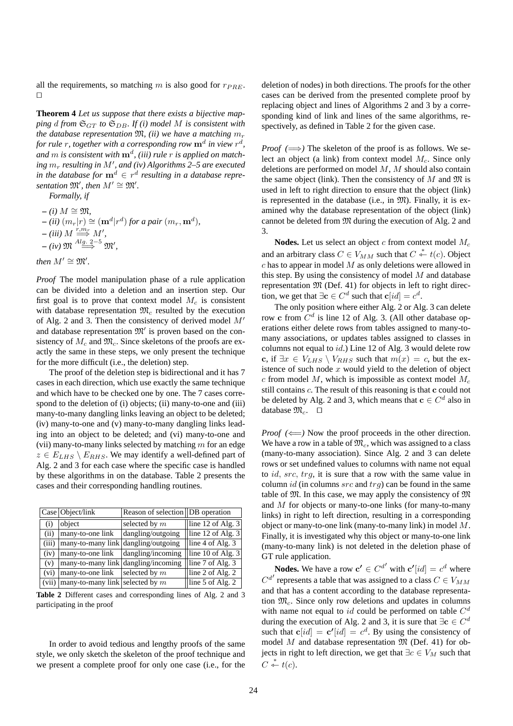all the requirements, so matching m is also good for  $r_{PRE}$ .  $\Box$ 

**Theorem 4** *Let us suppose that there exists a bijective mapping* d from  $\mathfrak{S}_{GT}$  to  $\mathfrak{S}_{DB}$ *. If (i) model M is consistent with the database representation*  $\mathfrak{M}$ *, (ii) we have a matching*  $m_r$ for rule  $r$ , together with a corresponding row  $\mathbf{m}^d$  in view  $r^d$ , and  $m$  is consistent with  $\mathbf{m}^d$ , (iii) rule  $r$  is applied on match- $\log m_r$  *resulting in*  $M'$ *, and (iv) Algorithms 2–5 are executed* in the database for  $\mathbf{m}^d \in r^d$  resulting in a database repre*sentation*  $\mathfrak{M}'$ , then  $M' \cong \mathfrak{M}'$ .

*Formally, if*

 $-$  (*i*) *M* ≅  $\mathfrak{M}$ ,  $-\left(iii\right)(m_r|r) \cong (\mathbf{m}^d|r^d)$  for a pair  $(m_r, \mathbf{m}^d)$ ,  $-$  *(iii)*  $M \stackrel{r,m_r}{\Longrightarrow} M'$ , **–** *(iv)* M Alg. 2−5 =⇒ M<sup>0</sup> *,*

*then*  $M' \cong \mathfrak{M}'$ .

*Proof* The model manipulation phase of a rule application can be divided into a deletion and an insertion step. Our first goal is to prove that context model  $M_c$  is consistent with database representation  $\mathfrak{M}_c$  resulted by the execution of Alg. 2 and 3. Then the consistency of derived model  $M'$ and database representation  $\mathfrak{M}'$  is proven based on the consistency of  $M_c$  and  $\mathfrak{M}_c$ . Since skeletons of the proofs are exactly the same in these steps, we only present the technique for the more difficult (i.e., the deletion) step.

The proof of the deletion step is bidirectional and it has 7 cases in each direction, which use exactly the same technique and which have to be checked one by one. The 7 cases correspond to the deletion of (i) objects; (ii) many-to-one and (iii) many-to-many dangling links leaving an object to be deleted; (iv) many-to-one and (v) many-to-many dangling links leading into an object to be deleted; and (vi) many-to-one and (vii) many-to-many links selected by matching  $m$  for an edge  $z \in E_{LHS} \setminus E_{RHS}$ . We may identify a well-defined part of Alg. 2 and 3 for each case where the specific case is handled by these algorithms in on the database. Table 2 presents the cases and their corresponding handling routines.

|                   | $\text{Case} \text{Object/link} $           | Reason of selection DB operation |                    |
|-------------------|---------------------------------------------|----------------------------------|--------------------|
| (i)               | object                                      | selected by $m$                  | line 12 of Alg. 3  |
| (ii)              | many-to-one link                            | dangling/outgoing                | line 12 of Alg. 3  |
| (iii)             | many-to-many link dangling/outgoing         |                                  | line 4 of Alg. $3$ |
| (iv)              | many-to-one link                            | dangling/incoming                | line 10 of Alg. 3  |
| (v)               | many-to-many link dangling/incoming         |                                  | line 7 of Alg. 3   |
| (v <sub>i</sub> ) | many-to-one link                            | selected by $m$                  | line 2 of Alg. 2   |
|                   | (vii)   many-to-many link   selected by $m$ |                                  | line 5 of Alg. 2   |

**Table 2** Different cases and corresponding lines of Alg. 2 and 3 participating in the proof

In order to avoid tedious and lengthy proofs of the same style, we only sketch the skeleton of the proof technique and we present a complete proof for only one case (i.e., for the deletion of nodes) in both directions. The proofs for the other cases can be derived from the presented complete proof by replacing object and lines of Algorithms 2 and 3 by a corresponding kind of link and lines of the same algorithms, respectively, as defined in Table 2 for the given case.

*Proof (* $\implies$ *)* The skeleton of the proof is as follows. We select an object (a link) from context model  $M_c$ . Since only deletions are performed on model  $M$ ,  $M$  should also contain the same object (link). Then the consistency of  $M$  and  $\mathfrak{M}$  is used in left to right direction to ensure that the object (link) is represented in the database (i.e., in  $\mathfrak{M}$ ). Finally, it is examined why the database representation of the object (link) cannot be deleted from M during the execution of Alg. 2 and 3.

**Nodes.** Let us select an object c from context model  $M_c$ and an arbitrary class  $C \in V_{MM}$  such that  $C \stackrel{*}{\leftarrow} t(c)$ . Object c has to appear in model M as only deletions were allowed in  $c$  has to appear in model  $M$  as only deletions were allowed in this step. By using the consistency of model  $M$  and database representation  $\mathfrak{M}$  (Def. 41) for objects in left to right direction, we get that  $\exists c \in C^d$  such that  $c[i d] = c^d$ .

The only position where either Alg. 2 or Alg. 3 can delete row c from  $C<sup>d</sup>$  is line 12 of Alg. 3. (All other database operations either delete rows from tables assigned to many-tomany associations, or updates tables assigned to classes in columns not equal to id.) Line 12 of Alg. 3 would delete row c, if  $\exists x \in V_{LHS} \setminus V_{RHS}$  such that  $m(x) = c$ , but the existence of such node  $x$  would yield to the deletion of object c from model M, which is impossible as context model  $M_c$ still contains c. The result of this reasoning is that c could not be deleted by Alg. 2 and 3, which means that  $c \in \mathbb{C}^d$  also in database  $\mathfrak{M}_c$ .  $\Box$ 

*Proof*  $(\Leftarrow)$  Now the proof proceeds in the other direction. We have a row in a table of  $\mathfrak{M}_c$ , which was assigned to a class (many-to-many association). Since Alg. 2 and 3 can delete rows or set undefined values to columns with name not equal to id, src, trg, it is sure that a row with the same value in column id (in columns  $src$  and  $trg$ ) can be found in the same table of  $M$ . In this case, we may apply the consistency of  $M$ and M for objects or many-to-one links (for many-to-many links) in right to left direction, resulting in a corresponding object or many-to-one link (many-to-many link) in model M. Finally, it is investigated why this object or many-to-one link (many-to-many link) is not deleted in the deletion phase of GT rule application.

**Nodes.** We have a row  $c' \in C^{d'}$  with  $c'|id| = c^d$  where  $C^{d'}$  represents a table that was assigned to a class  $C \in V_{MM}$ and that has a content according to the database representation  $\mathfrak{M}_{c}$ . Since only row deletions and updates in columns with name not equal to id could be performed on table  $C<sup>d</sup>$ during the execution of Alg. 2 and 3, it is sure that  $\exists c \in C^d$ such that  $c[i d] = c'[id] = c^d$ . By using the consistency of model M and database representation  $\mathfrak{M}$  (Def. 41) for objects in right to left direction, we get that  $\exists c \in V_M$  such that  $C \stackrel{*}{\leftarrow} t(c).$